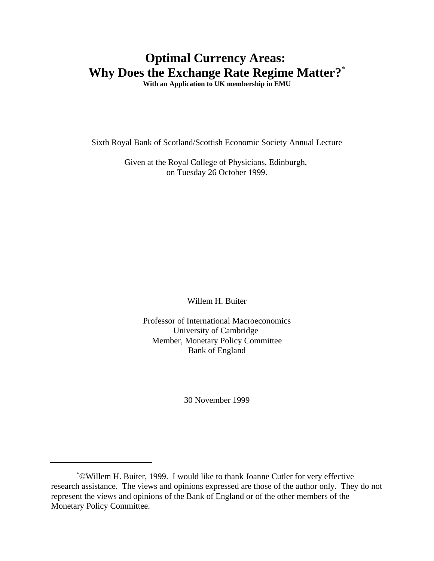# **Optimal Currency Areas: Why Does the Exchange Rate Regime Matter?**\*

**With an Application to UK membership in EMU**

Sixth Royal Bank of Scotland/Scottish Economic Society Annual Lecture

Given at the Royal College of Physicians, Edinburgh, on Tuesday 26 October 1999.

Willem H. Buiter

Professor of International Macroeconomics University of Cambridge Member, Monetary Policy Committee Bank of England

30 November 1999

<sup>\*</sup> ©Willem H. Buiter, 1999. I would like to thank Joanne Cutler for very effective research assistance. The views and opinions expressed are those of the author only. They do not represent the views and opinions of the Bank of England or of the other members of the Monetary Policy Committee.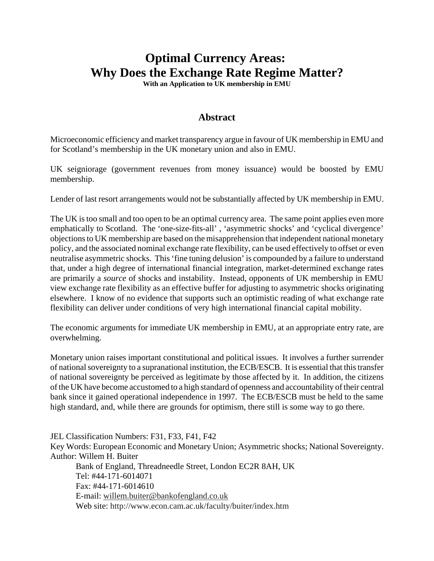# **Optimal Currency Areas: Why Does the Exchange Rate Regime Matter?**

**With an Application to UK membership in EMU**

### **Abstract**

Microeconomic efficiency and market transparency argue in favour of UK membership in EMU and for Scotland's membership in the UK monetary union and also in EMU.

UK seigniorage (government revenues from money issuance) would be boosted by EMU membership.

Lender of last resort arrangements would not be substantially affected by UK membership in EMU.

The UK is too small and too open to be an optimal currency area. The same point applies even more emphatically to Scotland. The 'one-size-fits-all' , 'asymmetric shocks' and 'cyclical divergence' objections to UK membership are based on the misapprehension that independent national monetary policy, and the associated nominal exchange rate flexibility, can be used effectively to offset or even neutralise asymmetric shocks. This 'fine tuning delusion' is compounded by a failure to understand that, under a high degree of international financial integration, market-determined exchange rates are primarily a *source* of shocks and instability. Instead, opponents of UK membership in EMU view exchange rate flexibility as an effective buffer for adjusting to asymmetric shocks originating elsewhere. I know of no evidence that supports such an optimistic reading of what exchange rate flexibility can deliver under conditions of very high international financial capital mobility.

The economic arguments for immediate UK membership in EMU, at an appropriate entry rate, are overwhelming.

Monetary union raises important constitutional and political issues. It involves a further surrender of national sovereignty to a supranational institution, the ECB/ESCB. It is essential that this transfer of national sovereignty be perceived as legitimate by those affected by it. In addition, the citizens of the UK have become accustomed to a high standard of openness and accountability of their central bank since it gained operational independence in 1997. The ECB/ESCB must be held to the same high standard, and, while there are grounds for optimism, there still is some way to go there.

JEL Classification Numbers: F31, F33, F41, F42 Key Words: European Economic and Monetary Union; Asymmetric shocks; National Sovereignty. Author: Willem H. Buiter Bank of England, Threadneedle Street, London EC2R 8AH, UK Tel: #44-171-6014071 Fax: #44-171-6014610 E-mail: willem.buiter@bankofengland.co.uk

Web site: http://www.econ.cam.ac.uk/faculty/buiter/index.htm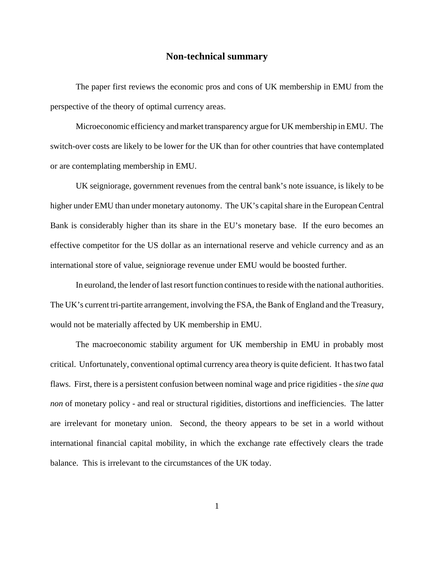#### **Non-technical summary**

The paper first reviews the economic pros and cons of UK membership in EMU from the perspective of the theory of optimal currency areas.

Microeconomic efficiency and market transparency argue for UK membership in EMU. The switch-over costs are likely to be lower for the UK than for other countries that have contemplated or are contemplating membership in EMU.

UK seigniorage, government revenues from the central bank's note issuance, is likely to be higher under EMU than under monetary autonomy. The UK's capital share in the European Central Bank is considerably higher than its share in the EU's monetary base. If the euro becomes an effective competitor for the US dollar as an international reserve and vehicle currency and as an international store of value, seigniorage revenue under EMU would be boosted further.

In euroland, the lender of last resort function continues to reside with the national authorities. The UK's current tri-partite arrangement, involving the FSA, the Bank of England and the Treasury, would not be materially affected by UK membership in EMU.

The macroeconomic stability argument for UK membership in EMU in probably most critical. Unfortunately, conventional optimal currency area theory is quite deficient. It has two fatal flaws. First, there is a persistent confusion between nominal wage and price rigidities - the *sine qua non* of monetary policy - and real or structural rigidities, distortions and inefficiencies. The latter are irrelevant for monetary union. Second, the theory appears to be set in a world without international financial capital mobility, in which the exchange rate effectively clears the trade balance. This is irrelevant to the circumstances of the UK today.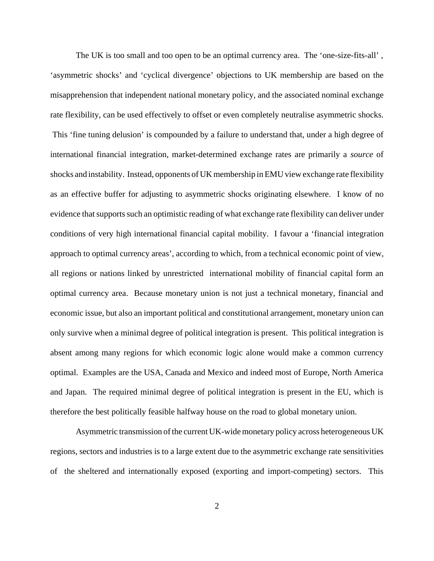The UK is too small and too open to be an optimal currency area. The 'one-size-fits-all' , 'asymmetric shocks' and 'cyclical divergence' objections to UK membership are based on the misapprehension that independent national monetary policy, and the associated nominal exchange rate flexibility, can be used effectively to offset or even completely neutralise asymmetric shocks. This 'fine tuning delusion' is compounded by a failure to understand that, under a high degree of international financial integration, market-determined exchange rates are primarily a *source* of shocks and instability. Instead, opponents of UK membership in EMU view exchange rate flexibility as an effective buffer for adjusting to asymmetric shocks originating elsewhere. I know of no evidence that supports such an optimistic reading of what exchange rate flexibility can deliver under conditions of very high international financial capital mobility. I favour a 'financial integration approach to optimal currency areas', according to which, from a technical economic point of view, all regions or nations linked by unrestricted international mobility of financial capital form an optimal currency area. Because monetary union is not just a technical monetary, financial and economic issue, but also an important political and constitutional arrangement, monetary union can only survive when a minimal degree of political integration is present. This political integration is absent among many regions for which economic logic alone would make a common currency optimal. Examples are the USA, Canada and Mexico and indeed most of Europe, North America and Japan. The required minimal degree of political integration is present in the EU, which is therefore the best politically feasible halfway house on the road to global monetary union.

Asymmetric transmission of the current UK-wide monetary policy across heterogeneous UK regions, sectors and industries is to a large extent due to the asymmetric exchange rate sensitivities of the sheltered and internationally exposed (exporting and import-competing) sectors. This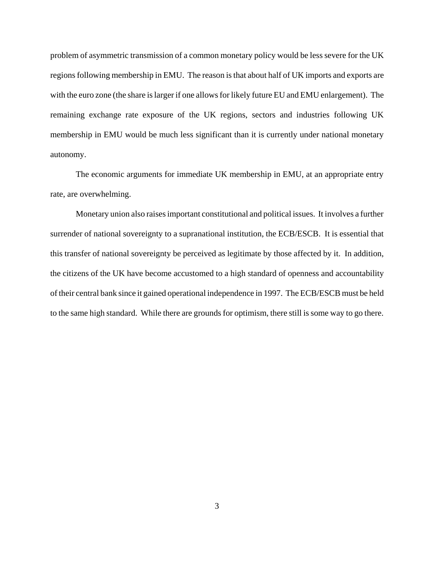problem of asymmetric transmission of a common monetary policy would be less severe for the UK regions following membership in EMU. The reason is that about half of UK imports and exports are with the euro zone (the share is larger if one allows for likely future EU and EMU enlargement). The remaining exchange rate exposure of the UK regions, sectors and industries following UK membership in EMU would be much less significant than it is currently under national monetary autonomy.

The economic arguments for immediate UK membership in EMU, at an appropriate entry rate, are overwhelming.

Monetary union also raises important constitutional and political issues. It involves a further surrender of national sovereignty to a supranational institution, the ECB/ESCB. It is essential that this transfer of national sovereignty be perceived as legitimate by those affected by it. In addition, the citizens of the UK have become accustomed to a high standard of openness and accountability of their central bank since it gained operational independence in 1997. The ECB/ESCB must be held to the same high standard. While there are grounds for optimism, there still is some way to go there.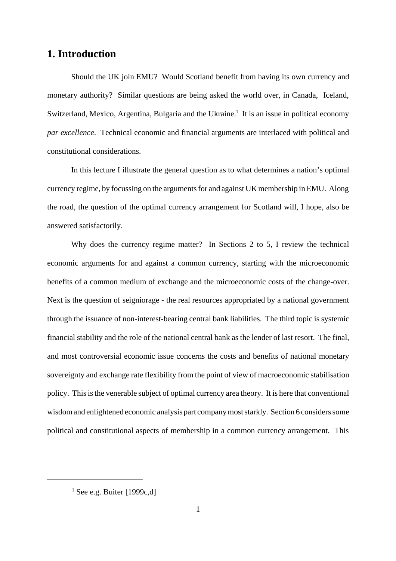### **1. Introduction**

Should the UK join EMU? Would Scotland benefit from having its own currency and monetary authority? Similar questions are being asked the world over, in Canada, Iceland, Switzerland, Mexico, Argentina, Bulgaria and the Ukraine.<sup>1</sup> It is an issue in political economy *par excellence*. Technical economic and financial arguments are interlaced with political and constitutional considerations.

In this lecture I illustrate the general question as to what determines a nation's optimal currency regime, by focussing on the arguments for and against UK membership in EMU. Along the road, the question of the optimal currency arrangement for Scotland will, I hope, also be answered satisfactorily.

Why does the currency regime matter? In Sections 2 to 5, I review the technical economic arguments for and against a common currency, starting with the microeconomic benefits of a common medium of exchange and the microeconomic costs of the change-over. Next is the question of seigniorage - the real resources appropriated by a national government through the issuance of non-interest-bearing central bank liabilities. The third topic is systemic financial stability and the role of the national central bank as the lender of last resort. The final, and most controversial economic issue concerns the costs and benefits of national monetary sovereignty and exchange rate flexibility from the point of view of macroeconomic stabilisation policy. This is the venerable subject of optimal currency area theory. It is here that conventional wisdom and enlightened economic analysis part company most starkly. Section 6 considers some political and constitutional aspects of membership in a common currency arrangement. This

<sup>&</sup>lt;sup>1</sup> See e.g. Buiter [1999c,d]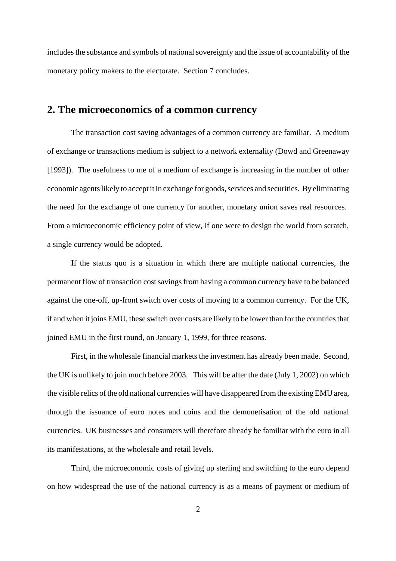includes the substance and symbols of national sovereignty and the issue of accountability of the monetary policy makers to the electorate. Section 7 concludes.

## **2. The microeconomics of a common currency**

The transaction cost saving advantages of a common currency are familiar. A medium of exchange or transactions medium is subject to a network externality (Dowd and Greenaway [1993]). The usefulness to me of a medium of exchange is increasing in the number of other economic agents likely to accept it in exchange for goods, services and securities. By eliminating the need for the exchange of one currency for another, monetary union saves real resources. From a microeconomic efficiency point of view, if one were to design the world from scratch, a single currency would be adopted.

If the status quo is a situation in which there are multiple national currencies, the permanent flow of transaction cost savings from having a common currency have to be balanced against the one-off, up-front switch over costs of moving to a common currency. For the UK, if and when it joins EMU, these switch over costs are likely to be lower than for the countries that joined EMU in the first round, on January 1, 1999, for three reasons.

First, in the wholesale financial markets the investment has already been made. Second, the UK is unlikely to join much before 2003. This will be after the date (July 1, 2002) on which the visible relics of the old national currencies will have disappeared from the existing EMU area, through the issuance of euro notes and coins and the demonetisation of the old national currencies. UK businesses and consumers will therefore already be familiar with the euro in all its manifestations, at the wholesale and retail levels.

Third, the microeconomic costs of giving up sterling and switching to the euro depend on how widespread the use of the national currency is as a means of payment or medium of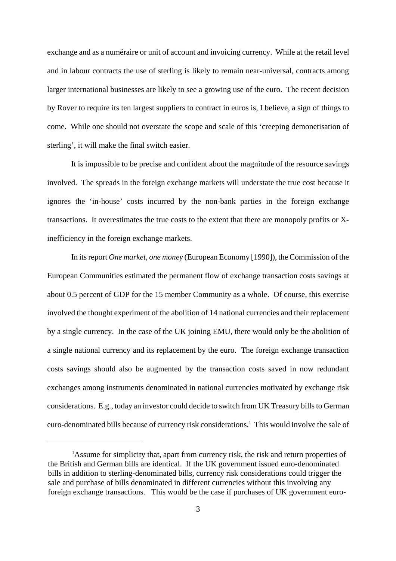exchange and as a numéraire or unit of account and invoicing currency. While at the retail level and in labour contracts the use of sterling is likely to remain near-universal, contracts among larger international businesses are likely to see a growing use of the euro. The recent decision by Rover to require its ten largest suppliers to contract in euros is, I believe, a sign of things to come. While one should not overstate the scope and scale of this 'creeping demonetisation of sterling', it will make the final switch easier.

It is impossible to be precise and confident about the magnitude of the resource savings involved. The spreads in the foreign exchange markets will understate the true cost because it ignores the 'in-house' costs incurred by the non-bank parties in the foreign exchange transactions. It overestimates the true costs to the extent that there are monopoly profits or Xinefficiency in the foreign exchange markets.

In its report *One market, one money* (European Economy [1990]), the Commission of the European Communities estimated the permanent flow of exchange transaction costs savings at about 0.5 percent of GDP for the 15 member Community as a whole. Of course, this exercise involved the thought experiment of the abolition of 14 national currencies and their replacement by a single currency. In the case of the UK joining EMU, there would only be the abolition of a single national currency and its replacement by the euro. The foreign exchange transaction costs savings should also be augmented by the transaction costs saved in now redundant exchanges among instruments denominated in national currencies motivated by exchange risk considerations. E.g., today an investor could decide to switch from UK Treasury bills to German euro-denominated bills because of currency risk considerations.<sup>1</sup> This would involve the sale of

<sup>&</sup>lt;sup>1</sup>Assume for simplicity that, apart from currency risk, the risk and return properties of the British and German bills are identical. If the UK government issued euro-denominated bills in addition to sterling-denominated bills, currency risk considerations could trigger the sale and purchase of bills denominated in different currencies without this involving any foreign exchange transactions. This would be the case if purchases of UK government euro-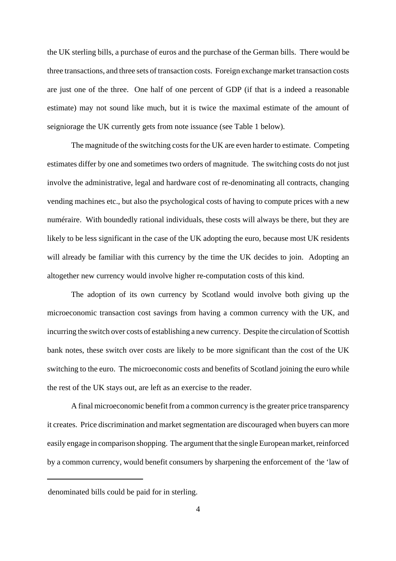the UK sterling bills, a purchase of euros and the purchase of the German bills. There would be three transactions, and three sets of transaction costs. Foreign exchange market transaction costs are just one of the three. One half of one percent of GDP (if that is a indeed a reasonable estimate) may not sound like much, but it is twice the maximal estimate of the amount of seigniorage the UK currently gets from note issuance (see Table 1 below).

The magnitude of the switching costs for the UK are even harder to estimate. Competing estimates differ by one and sometimes two orders of magnitude. The switching costs do not just involve the administrative, legal and hardware cost of re-denominating all contracts, changing vending machines etc., but also the psychological costs of having to compute prices with a new numéraire. With boundedly rational individuals, these costs will always be there, but they are likely to be less significant in the case of the UK adopting the euro, because most UK residents will already be familiar with this currency by the time the UK decides to join. Adopting an altogether new currency would involve higher re-computation costs of this kind.

The adoption of its own currency by Scotland would involve both giving up the microeconomic transaction cost savings from having a common currency with the UK, and incurring the switch over costs of establishing a new currency. Despite the circulation of Scottish bank notes, these switch over costs are likely to be more significant than the cost of the UK switching to the euro. The microeconomic costs and benefits of Scotland joining the euro while the rest of the UK stays out, are left as an exercise to the reader.

A final microeconomic benefit from a common currency is the greater price transparency it creates. Price discrimination and market segmentation are discouraged when buyers can more easily engage in comparison shopping. The argument that the single European market, reinforced by a common currency, would benefit consumers by sharpening the enforcement of the 'law of

denominated bills could be paid for in sterling.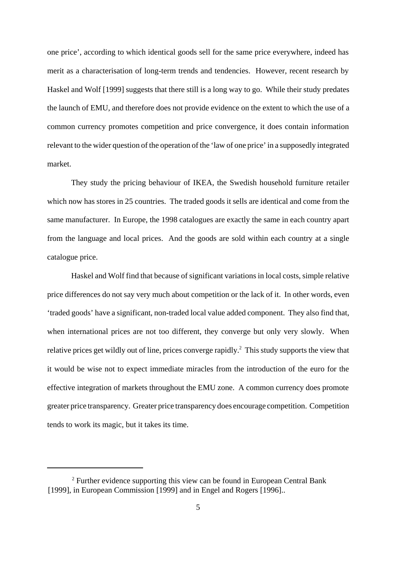one price', according to which identical goods sell for the same price everywhere, indeed has merit as a characterisation of long-term trends and tendencies. However, recent research by Haskel and Wolf [1999] suggests that there still is a long way to go. While their study predates the launch of EMU, and therefore does not provide evidence on the extent to which the use of a common currency promotes competition and price convergence, it does contain information relevant to the wider question of the operation of the 'law of one price' in a supposedly integrated market.

They study the pricing behaviour of IKEA, the Swedish household furniture retailer which now has stores in 25 countries. The traded goods it sells are identical and come from the same manufacturer. In Europe, the 1998 catalogues are exactly the same in each country apart from the language and local prices. And the goods are sold within each country at a single catalogue price.

Haskel and Wolf find that because of significant variations in local costs, simple relative price differences do not say very much about competition or the lack of it. In other words, even 'traded goods' have a significant, non-traded local value added component. They also find that, when international prices are not too different, they converge but only very slowly. When relative prices get wildly out of line, prices converge rapidly. $^2$  This study supports the view that it would be wise not to expect immediate miracles from the introduction of the euro for the effective integration of markets throughout the EMU zone. A common currency does promote greater price transparency. Greater price transparency does encourage competition. Competition tends to work its magic, but it takes its time.

 $2^2$  Further evidence supporting this view can be found in European Central Bank [1999], in European Commission [1999] and in Engel and Rogers [1996]..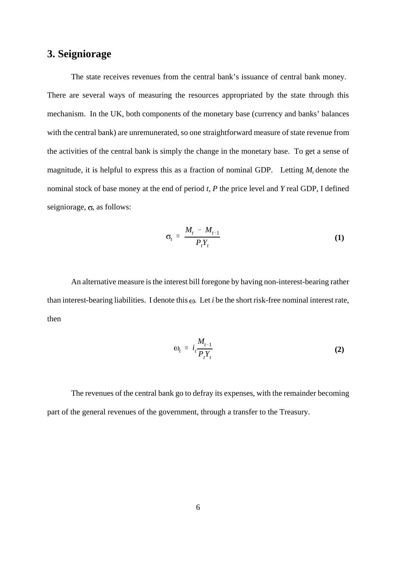## **3. Seigniorage**

The state receives revenues from the central bank's issuance of central bank money. There are several ways of measuring the resources appropriated by the state through this mechanism. In the UK, both components of the monetary base (currency and banks' balances with the central bank) are unremunerated, so one straightforward measure of state revenue from the activities of the central bank is simply the change in the monetary base. To get a sense of magnitude, it is helpful to express this as a fraction of nominal GDP. Letting  $M_t$  denote the nominal stock of base money at the end of period *t*, *P* the price level and *Y* real GDP, I defined seigniorage,  $\sigma$ , as follows:

$$
\sigma_t = \frac{M_t - M_{t-1}}{P_t Y_t} \tag{1}
$$

An alternative measure is the interest bill foregone by having non-interest-bearing rather than interest-bearing liabilities. I denote this  $\omega$ . Let *i* be the short risk-free nominal interest rate, then

$$
\omega_t = i_t \frac{M_{t-1}}{P_t Y_t} \tag{2}
$$

The revenues of the central bank go to defray its expenses, with the remainder becoming part of the general revenues of the government, through a transfer to the Treasury.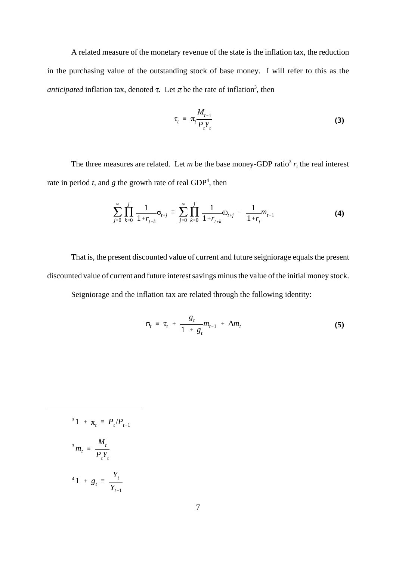A related measure of the monetary revenue of the state is the inflation tax, the reduction in the purchasing value of the outstanding stock of base money. I will refer to this as the *anticipated* inflation tax, denoted  $\tau$ . Let  $\pi$  be the rate of inflation<sup>3</sup>, then

$$
\tau_t = \pi_t \frac{M_{t-1}}{P_t Y_t} \tag{3}
$$

The three measures are related. Let *m* be the base money-GDP ratio<sup>3</sup>  $r_t$ , the real interest rate in period  $t$ , and  $g$  the growth rate of real  $GDP<sup>4</sup>$ , then

$$
\sum_{j=0}^{\infty} \prod_{k=0}^{j} \frac{1}{1+r_{t+k}} \sigma_{t+j} \equiv \sum_{j=0}^{\infty} \prod_{k=0}^{j} \frac{1}{1+r_{t+k}} \omega_{t+j} - \frac{1}{1+r_{t}} m_{t-1}
$$
(4)

That is, the present discounted value of current and future seigniorage equals the present discounted value of current and future interest savings minus the value of the initial money stock. Seigniorage and the inflation tax are related through the following identity:

$$
\sigma_t = \tau_t + \frac{g_t}{1 + g_t} m_{t-1} + \Delta m_t \tag{5}
$$

$$
{}^{3}1 + \pi_{t} \equiv P_{t}/P_{t-1}
$$

$$
{}^{3}m_{t} \equiv \frac{M_{t}}{P_{t}Y_{t}}
$$

$$
{}^{4}1 + g_{t} \equiv \frac{Y_{t}}{Y_{t-1}}
$$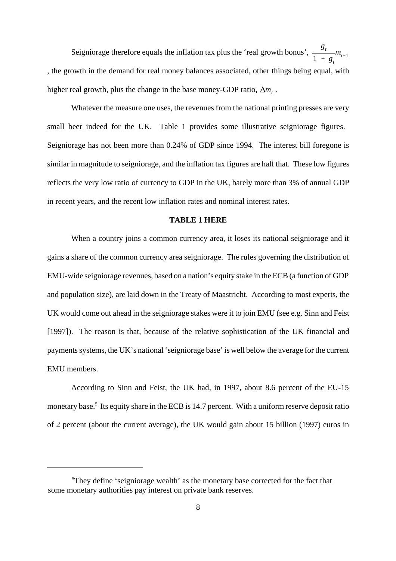Seigniorage therefore equals the inflation tax plus the 'real growth bonus',  $\frac{g_t}{g_t}$  $\frac{G_t}{1 + g_t} m_{t-1}$ , the growth in the demand for real money balances associated, other things being equal, with higher real growth, plus the change in the base money-GDP ratio,  $\Delta m_t$ .

Whatever the measure one uses, the revenues from the national printing presses are very small beer indeed for the UK. Table 1 provides some illustrative seigniorage figures. Seigniorage has not been more than 0.24% of GDP since 1994. The interest bill foregone is similar in magnitude to seigniorage, and the inflation tax figures are half that. These low figures reflects the very low ratio of currency to GDP in the UK, barely more than 3% of annual GDP in recent years, and the recent low inflation rates and nominal interest rates.

#### **TABLE 1 HERE**

When a country joins a common currency area, it loses its national seigniorage and it gains a share of the common currency area seigniorage. The rules governing the distribution of EMU-wide seigniorage revenues, based on a nation's equity stake in the ECB (a function of GDP and population size), are laid down in the Treaty of Maastricht. According to most experts, the UK would come out ahead in the seigniorage stakes were it to join EMU (see e.g. Sinn and Feist [1997]). The reason is that, because of the relative sophistication of the UK financial and payments systems, the UK's national 'seigniorage base' is well below the average for the current EMU members.

According to Sinn and Feist, the UK had, in 1997, about 8.6 percent of the EU-15 monetary base.<sup>5</sup> Its equity share in the ECB is 14.7 percent. With a uniform reserve deposit ratio of 2 percent (about the current average), the UK would gain about 15 billion (1997) euros in

<sup>&</sup>lt;sup>5</sup>They define 'seigniorage wealth' as the monetary base corrected for the fact that some monetary authorities pay interest on private bank reserves.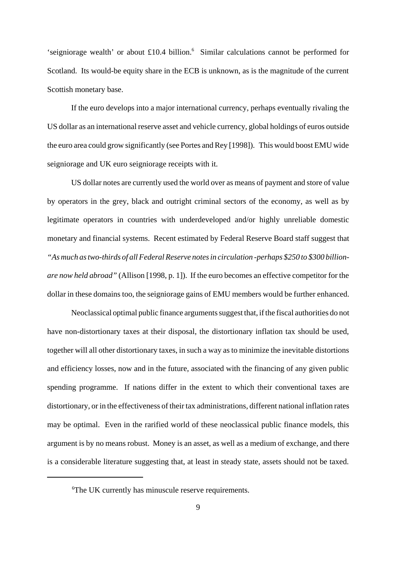'seigniorage wealth' or about £10.4 billion.<sup>6</sup> Similar calculations cannot be performed for Scotland. Its would-be equity share in the ECB is unknown, as is the magnitude of the current Scottish monetary base.

If the euro develops into a major international currency, perhaps eventually rivaling the US dollar as an international reserve asset and vehicle currency, global holdings of euros outside the euro area could grow significantly (see Portes and Rey [1998]). This would boost EMU wide seigniorage and UK euro seigniorage receipts with it.

US dollar notes are currently used the world over as means of payment and store of value by operators in the grey, black and outright criminal sectors of the economy, as well as by legitimate operators in countries with underdeveloped and/or highly unreliable domestic monetary and financial systems. Recent estimated by Federal Reserve Board staff suggest that *"As much as two-thirds of all Federal Reserve notes in circulation -perhaps \$250 to \$300 billionare now held abroad"* (Allison [1998, p. 1]). If the euro becomes an effective competitor for the dollar in these domains too, the seigniorage gains of EMU members would be further enhanced.

Neoclassical optimal public finance arguments suggest that, if the fiscal authorities do not have non-distortionary taxes at their disposal, the distortionary inflation tax should be used, together will all other distortionary taxes, in such a way as to minimize the inevitable distortions and efficiency losses, now and in the future, associated with the financing of any given public spending programme. If nations differ in the extent to which their conventional taxes are distortionary, or in the effectiveness of their tax administrations, different national inflation rates may be optimal. Even in the rarified world of these neoclassical public finance models, this argument is by no means robust. Money is an asset, as well as a medium of exchange, and there is a considerable literature suggesting that, at least in steady state, assets should not be taxed.

<sup>6</sup> The UK currently has minuscule reserve requirements.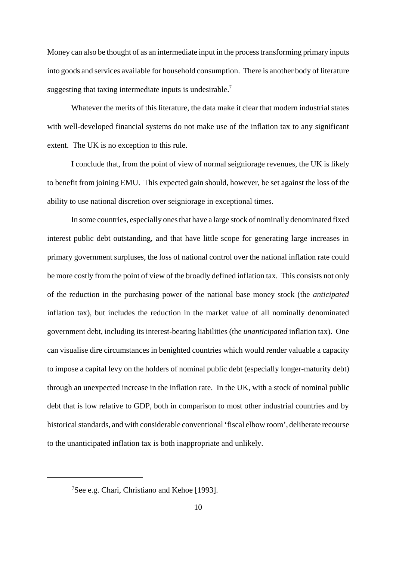Money can also be thought of as an intermediate input in the process transforming primary inputs into goods and services available for household consumption. There is another body of literature suggesting that taxing intermediate inputs is undesirable.<sup>7</sup>

Whatever the merits of this literature, the data make it clear that modern industrial states with well-developed financial systems do not make use of the inflation tax to any significant extent. The UK is no exception to this rule.

I conclude that, from the point of view of normal seigniorage revenues, the UK is likely to benefit from joining EMU. This expected gain should, however, be set against the loss of the ability to use national discretion over seigniorage in exceptional times.

In some countries, especially ones that have a large stock of nominally denominated fixed interest public debt outstanding, and that have little scope for generating large increases in primary government surpluses, the loss of national control over the national inflation rate could be more costly from the point of view of the broadly defined inflation tax. This consists not only of the reduction in the purchasing power of the national base money stock (the *anticipated* inflation tax), but includes the reduction in the market value of all nominally denominated government debt, including its interest-bearing liabilities (the *unanticipated* inflation tax). One can visualise dire circumstances in benighted countries which would render valuable a capacity to impose a capital levy on the holders of nominal public debt (especially longer-maturity debt) through an unexpected increase in the inflation rate. In the UK, with a stock of nominal public debt that is low relative to GDP, both in comparison to most other industrial countries and by historical standards, and with considerable conventional 'fiscal elbow room', deliberate recourse to the unanticipated inflation tax is both inappropriate and unlikely.

<sup>&</sup>lt;sup>7</sup>See e.g. Chari, Christiano and Kehoe [1993].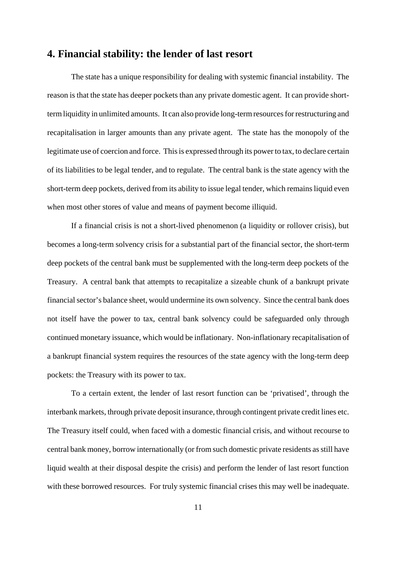## **4. Financial stability: the lender of last resort**

The state has a unique responsibility for dealing with systemic financial instability. The reason is that the state has deeper pockets than any private domestic agent. It can provide shortterm liquidity in unlimited amounts. It can also provide long-term resources for restructuring and recapitalisation in larger amounts than any private agent. The state has the monopoly of the legitimate use of coercion and force. This is expressed through its power to tax, to declare certain of its liabilities to be legal tender, and to regulate. The central bank is the state agency with the short-term deep pockets, derived from its ability to issue legal tender, which remains liquid even when most other stores of value and means of payment become illiquid.

If a financial crisis is not a short-lived phenomenon (a liquidity or rollover crisis), but becomes a long-term solvency crisis for a substantial part of the financial sector, the short-term deep pockets of the central bank must be supplemented with the long-term deep pockets of the Treasury. A central bank that attempts to recapitalize a sizeable chunk of a bankrupt private financial sector's balance sheet, would undermine its own solvency. Since the central bank does not itself have the power to tax, central bank solvency could be safeguarded only through continued monetary issuance, which would be inflationary. Non-inflationary recapitalisation of a bankrupt financial system requires the resources of the state agency with the long-term deep pockets: the Treasury with its power to tax.

To a certain extent, the lender of last resort function can be 'privatised', through the interbank markets, through private deposit insurance, through contingent private credit lines etc. The Treasury itself could, when faced with a domestic financial crisis, and without recourse to central bank money, borrow internationally (or from such domestic private residents as still have liquid wealth at their disposal despite the crisis) and perform the lender of last resort function with these borrowed resources. For truly systemic financial crises this may well be inadequate.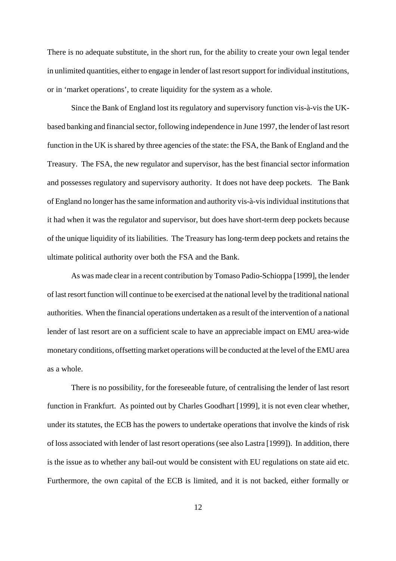There is no adequate substitute, in the short run, for the ability to create your own legal tender in unlimited quantities, either to engage in lender of last resort support for individual institutions, or in 'market operations', to create liquidity for the system as a whole.

Since the Bank of England lost its regulatory and supervisory function vis-à-vis the UKbased banking and financial sector, following independence in June 1997, the lender of last resort function in the UK is shared by three agencies of the state: the FSA, the Bank of England and the Treasury. The FSA, the new regulator and supervisor, has the best financial sector information and possesses regulatory and supervisory authority. It does not have deep pockets. The Bank of England no longer has the same information and authority vis-à-vis individual institutions that it had when it was the regulator and supervisor, but does have short-term deep pockets because of the unique liquidity of its liabilities. The Treasury has long-term deep pockets and retains the ultimate political authority over both the FSA and the Bank.

As was made clear in a recent contribution by Tomaso Padio-Schioppa [1999], the lender of last resort function will continue to be exercised at the national level by the traditional national authorities. When the financial operations undertaken as a result of the intervention of a national lender of last resort are on a sufficient scale to have an appreciable impact on EMU area-wide monetary conditions, offsetting market operations will be conducted at the level of the EMU area as a whole.

There is no possibility, for the foreseeable future, of centralising the lender of last resort function in Frankfurt. As pointed out by Charles Goodhart [1999], it is not even clear whether, under its statutes, the ECB has the powers to undertake operations that involve the kinds of risk of loss associated with lender of last resort operations (see also Lastra [1999]). In addition, there is the issue as to whether any bail-out would be consistent with EU regulations on state aid etc. Furthermore, the own capital of the ECB is limited, and it is not backed, either formally or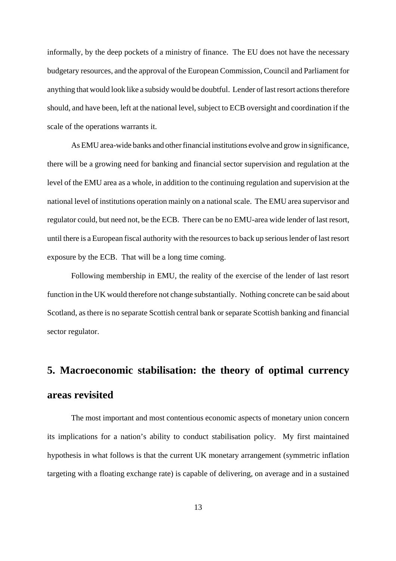informally, by the deep pockets of a ministry of finance. The EU does not have the necessary budgetary resources, and the approval of the European Commission, Council and Parliament for anything that would look like a subsidy would be doubtful. Lender of last resort actions therefore should, and have been, left at the national level, subject to ECB oversight and coordination if the scale of the operations warrants it.

As EMU area-wide banks and other financial institutions evolve and grow in significance, there will be a growing need for banking and financial sector supervision and regulation at the level of the EMU area as a whole, in addition to the continuing regulation and supervision at the national level of institutions operation mainly on a national scale. The EMU area supervisor and regulator could, but need not, be the ECB. There can be no EMU-area wide lender of last resort, until there is a European fiscal authority with the resources to back up serious lender of last resort exposure by the ECB. That will be a long time coming.

Following membership in EMU, the reality of the exercise of the lender of last resort function in the UK would therefore not change substantially. Nothing concrete can be said about Scotland, as there is no separate Scottish central bank or separate Scottish banking and financial sector regulator.

# **5. Macroeconomic stabilisation: the theory of optimal currency areas revisited**

The most important and most contentious economic aspects of monetary union concern its implications for a nation's ability to conduct stabilisation policy. My first maintained hypothesis in what follows is that the current UK monetary arrangement (symmetric inflation targeting with a floating exchange rate) is capable of delivering, on average and in a sustained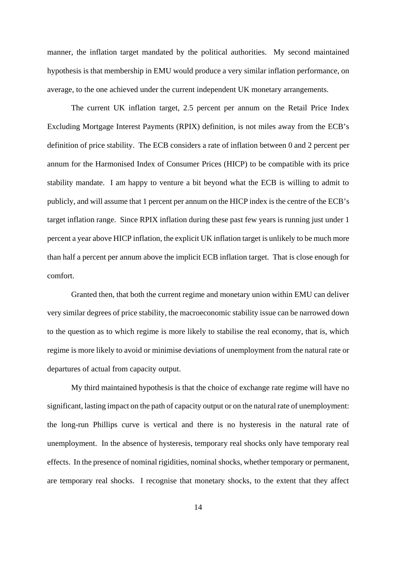manner, the inflation target mandated by the political authorities. My second maintained hypothesis is that membership in EMU would produce a very similar inflation performance, on average, to the one achieved under the current independent UK monetary arrangements.

The current UK inflation target, 2.5 percent per annum on the Retail Price Index Excluding Mortgage Interest Payments (RPIX) definition, is not miles away from the ECB's definition of price stability. The ECB considers a rate of inflation between 0 and 2 percent per annum for the Harmonised Index of Consumer Prices (HICP) to be compatible with its price stability mandate. I am happy to venture a bit beyond what the ECB is willing to admit to publicly, and will assume that 1 percent per annum on the HICP index is the centre of the ECB's target inflation range. Since RPIX inflation during these past few years is running just under 1 percent a year above HICP inflation, the explicit UK inflation target is unlikely to be much more than half a percent per annum above the implicit ECB inflation target. That is close enough for comfort.

Granted then, that both the current regime and monetary union within EMU can deliver very similar degrees of price stability, the macroeconomic stability issue can be narrowed down to the question as to which regime is more likely to stabilise the real economy, that is, which regime is more likely to avoid or minimise deviations of unemployment from the natural rate or departures of actual from capacity output.

My third maintained hypothesis is that the choice of exchange rate regime will have no significant, lasting impact on the path of capacity output or on the natural rate of unemployment: the long-run Phillips curve is vertical and there is no hysteresis in the natural rate of unemployment. In the absence of hysteresis, temporary real shocks only have temporary real effects. In the presence of nominal rigidities, nominal shocks, whether temporary or permanent, are temporary real shocks. I recognise that monetary shocks, to the extent that they affect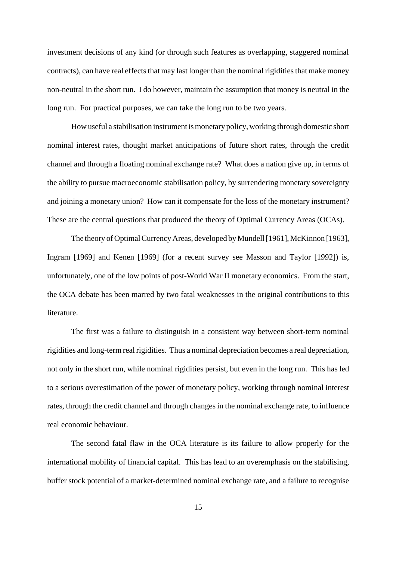investment decisions of any kind (or through such features as overlapping, staggered nominal contracts), can have real effects that may last longer than the nominal rigidities that make money non-neutral in the short run. I do however, maintain the assumption that money is neutral in the long run. For practical purposes, we can take the long run to be two years.

How useful a stabilisation instrument is monetary policy, working through domestic short nominal interest rates, thought market anticipations of future short rates, through the credit channel and through a floating nominal exchange rate? What does a nation give up, in terms of the ability to pursue macroeconomic stabilisation policy, by surrendering monetary sovereignty and joining a monetary union? How can it compensate for the loss of the monetary instrument? These are the central questions that produced the theory of Optimal Currency Areas (OCAs).

The theory of Optimal Currency Areas, developed by Mundell [1961], McKinnon [1963], Ingram [1969] and Kenen [1969] (for a recent survey see Masson and Taylor [1992]) is, unfortunately, one of the low points of post-World War II monetary economics. From the start, the OCA debate has been marred by two fatal weaknesses in the original contributions to this literature.

The first was a failure to distinguish in a consistent way between short-term nominal rigidities and long-term real rigidities. Thus a nominal depreciation becomes a real depreciation, not only in the short run, while nominal rigidities persist, but even in the long run. This has led to a serious overestimation of the power of monetary policy, working through nominal interest rates, through the credit channel and through changes in the nominal exchange rate, to influence real economic behaviour.

The second fatal flaw in the OCA literature is its failure to allow properly for the international mobility of financial capital. This has lead to an overemphasis on the stabilising, buffer stock potential of a market-determined nominal exchange rate, and a failure to recognise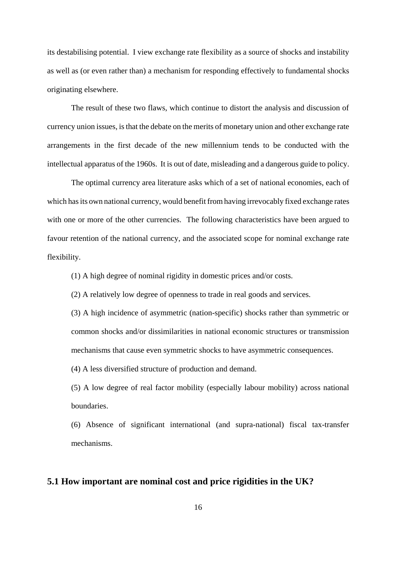its destabilising potential. I view exchange rate flexibility as a source of shocks and instability as well as (or even rather than) a mechanism for responding effectively to fundamental shocks originating elsewhere.

The result of these two flaws, which continue to distort the analysis and discussion of currency union issues, is that the debate on the merits of monetary union and other exchange rate arrangements in the first decade of the new millennium tends to be conducted with the intellectual apparatus of the 1960s. It is out of date, misleading and a dangerous guide to policy.

The optimal currency area literature asks which of a set of national economies, each of which has its own national currency, would benefit from having irrevocably fixed exchange rates with one or more of the other currencies. The following characteristics have been argued to favour retention of the national currency, and the associated scope for nominal exchange rate flexibility.

(1) A high degree of nominal rigidity in domestic prices and/or costs.

(2) A relatively low degree of openness to trade in real goods and services.

(3) A high incidence of asymmetric (nation-specific) shocks rather than symmetric or common shocks and/or dissimilarities in national economic structures or transmission mechanisms that cause even symmetric shocks to have asymmetric consequences.

(4) A less diversified structure of production and demand.

(5) A low degree of real factor mobility (especially labour mobility) across national boundaries.

(6) Absence of significant international (and supra-national) fiscal tax-transfer mechanisms.

#### **5.1 How important are nominal cost and price rigidities in the UK?**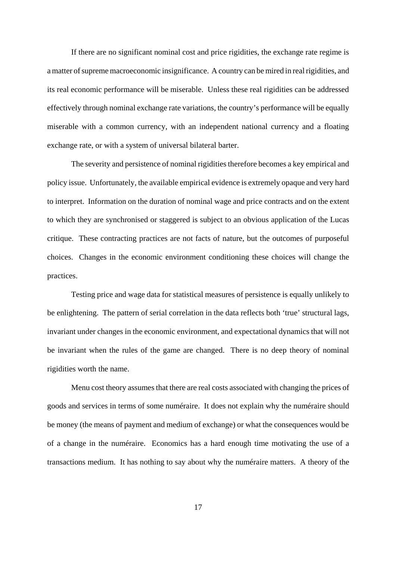If there are no significant nominal cost and price rigidities, the exchange rate regime is a matter of supreme macroeconomic insignificance. A country can be mired in real rigidities, and its real economic performance will be miserable. Unless these real rigidities can be addressed effectively through nominal exchange rate variations, the country's performance will be equally miserable with a common currency, with an independent national currency and a floating exchange rate, or with a system of universal bilateral barter.

The severity and persistence of nominal rigidities therefore becomes a key empirical and policy issue. Unfortunately, the available empirical evidence is extremely opaque and very hard to interpret. Information on the duration of nominal wage and price contracts and on the extent to which they are synchronised or staggered is subject to an obvious application of the Lucas critique. These contracting practices are not facts of nature, but the outcomes of purposeful choices. Changes in the economic environment conditioning these choices will change the practices.

Testing price and wage data for statistical measures of persistence is equally unlikely to be enlightening. The pattern of serial correlation in the data reflects both 'true' structural lags, invariant under changes in the economic environment, and expectational dynamics that will not be invariant when the rules of the game are changed. There is no deep theory of nominal rigidities worth the name.

Menu cost theory assumes that there are real costs associated with changing the prices of goods and services in terms of some numéraire. It does not explain why the numéraire should be money (the means of payment and medium of exchange) or what the consequences would be of a change in the numéraire. Economics has a hard enough time motivating the use of a transactions medium. It has nothing to say about why the numéraire matters. A theory of the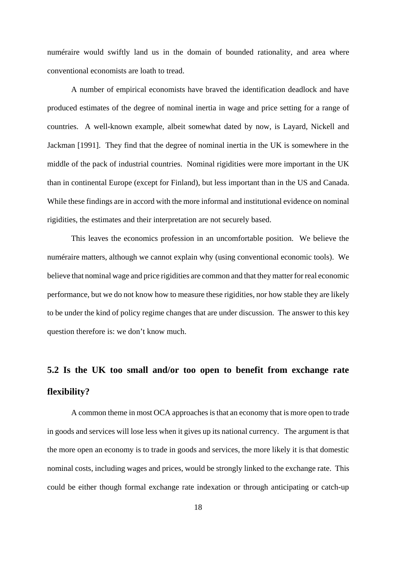numéraire would swiftly land us in the domain of bounded rationality, and area where conventional economists are loath to tread.

A number of empirical economists have braved the identification deadlock and have produced estimates of the degree of nominal inertia in wage and price setting for a range of countries. A well-known example, albeit somewhat dated by now, is Layard, Nickell and Jackman [1991]. They find that the degree of nominal inertia in the UK is somewhere in the middle of the pack of industrial countries. Nominal rigidities were more important in the UK than in continental Europe (except for Finland), but less important than in the US and Canada. While these findings are in accord with the more informal and institutional evidence on nominal rigidities, the estimates and their interpretation are not securely based.

This leaves the economics profession in an uncomfortable position. We believe the numéraire matters, although we cannot explain why (using conventional economic tools). We believe that nominal wage and price rigidities are common and that they matter for real economic performance, but we do not know how to measure these rigidities, nor how stable they are likely to be under the kind of policy regime changes that are under discussion. The answer to this key question therefore is: we don't know much.

# **5.2 Is the UK too small and/or too open to benefit from exchange rate flexibility?**

A common theme in most OCA approaches is that an economy that is more open to trade in goods and services will lose less when it gives up its national currency. The argument is that the more open an economy is to trade in goods and services, the more likely it is that domestic nominal costs, including wages and prices, would be strongly linked to the exchange rate. This could be either though formal exchange rate indexation or through anticipating or catch-up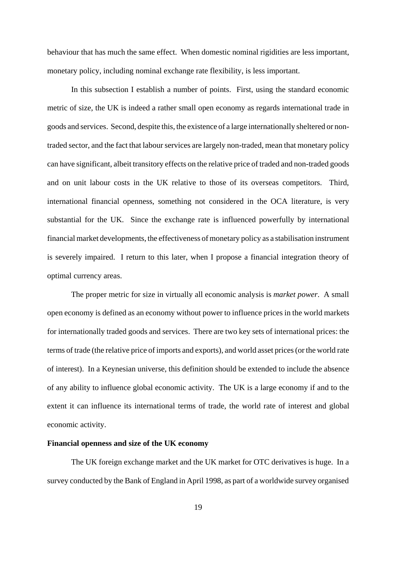behaviour that has much the same effect. When domestic nominal rigidities are less important, monetary policy, including nominal exchange rate flexibility, is less important.

In this subsection I establish a number of points. First, using the standard economic metric of size, the UK is indeed a rather small open economy as regards international trade in goods and services. Second, despite this, the existence of a large internationally sheltered or nontraded sector, and the fact that labour services are largely non-traded, mean that monetary policy can have significant, albeit transitory effects on the relative price of traded and non-traded goods and on unit labour costs in the UK relative to those of its overseas competitors. Third, international financial openness, something not considered in the OCA literature, is very substantial for the UK. Since the exchange rate is influenced powerfully by international financial market developments, the effectiveness of monetary policy as a stabilisation instrument is severely impaired. I return to this later, when I propose a financial integration theory of optimal currency areas.

The proper metric for size in virtually all economic analysis is *market power*. A small open economy is defined as an economy without power to influence prices in the world markets for internationally traded goods and services. There are two key sets of international prices: the terms of trade (the relative price of imports and exports), and world asset prices (or the world rate of interest). In a Keynesian universe, this definition should be extended to include the absence of any ability to influence global economic activity. The UK is a large economy if and to the extent it can influence its international terms of trade, the world rate of interest and global economic activity.

#### **Financial openness and size of the UK economy**

The UK foreign exchange market and the UK market for OTC derivatives is huge. In a survey conducted by the Bank of England in April 1998, as part of a worldwide survey organised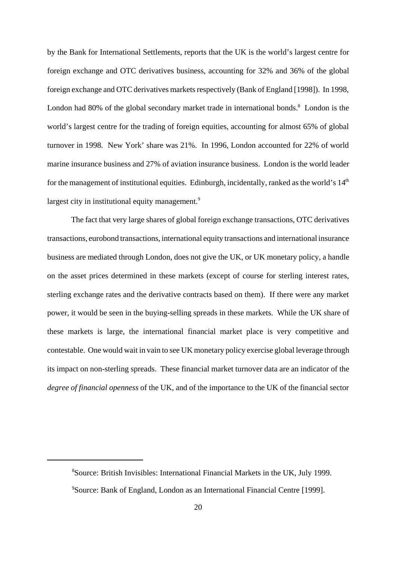by the Bank for International Settlements, reports that the UK is the world's largest centre for foreign exchange and OTC derivatives business, accounting for 32% and 36% of the global foreign exchange and OTC derivatives markets respectively (Bank of England [1998]). In 1998, London had 80% of the global secondary market trade in international bonds.<sup>8</sup> London is the world's largest centre for the trading of foreign equities, accounting for almost 65% of global turnover in 1998. New York' share was 21%. In 1996, London accounted for 22% of world marine insurance business and 27% of aviation insurance business. London is the world leader for the management of institutional equities. Edinburgh, incidentally, ranked as the world's 14<sup>th</sup> largest city in institutional equity management.<sup>9</sup>

The fact that very large shares of global foreign exchange transactions, OTC derivatives transactions, eurobond transactions, international equity transactions and international insurance business are mediated through London, does not give the UK, or UK monetary policy, a handle on the asset prices determined in these markets (except of course for sterling interest rates, sterling exchange rates and the derivative contracts based on them). If there were any market power, it would be seen in the buying-selling spreads in these markets. While the UK share of these markets is large, the international financial market place is very competitive and contestable. One would wait in vain to see UK monetary policy exercise global leverage through its impact on non-sterling spreads. These financial market turnover data are an indicator of the *degree of financial openness* of the UK, and of the importance to the UK of the financial sector

<sup>8</sup> Source: British Invisibles: International Financial Markets in the UK, July 1999. <sup>9</sup>Source: Bank of England, London as an International Financial Centre [1999].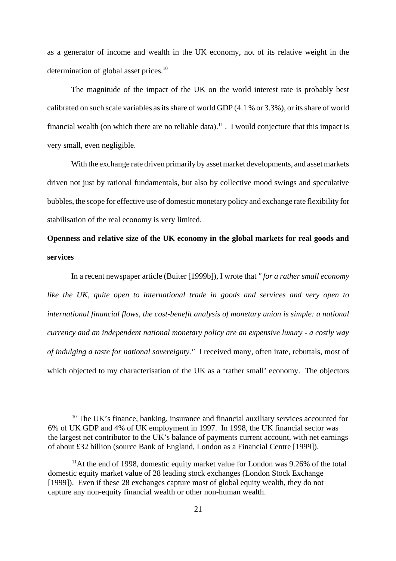as a generator of income and wealth in the UK economy, not of its relative weight in the determination of global asset prices.<sup>10</sup>

The magnitude of the impact of the UK on the world interest rate is probably best calibrated on such scale variables as its share of world GDP (4.1 % or 3.3%), or its share of world financial wealth (on which there are no reliable data).<sup>11</sup>. I would conjecture that this impact is very small, even negligible.

With the exchange rate driven primarily by asset market developments, and asset markets driven not just by rational fundamentals, but also by collective mood swings and speculative bubbles, the scope for effective use of domestic monetary policy and exchange rate flexibility for stabilisation of the real economy is very limited.

# **Openness and relative size of the UK economy in the global markets for real goods and services**

In a recent newspaper article (Buiter [1999b]), I wrote that *" for a rather small economy like the UK, quite open to international trade in goods and services and very open to international financial flows, the cost-benefit analysis of monetary union is simple: a national currency and an independent national monetary policy are an expensive luxury - a costly way of indulging a taste for national sovereignty."* I received many, often irate, rebuttals, most of which objected to my characterisation of the UK as a 'rather small' economy. The objectors

<sup>&</sup>lt;sup>10</sup> The UK's finance, banking, insurance and financial auxiliary services accounted for 6% of UK GDP and 4% of UK employment in 1997. In 1998, the UK financial sector was the largest net contributor to the UK's balance of payments current account, with net earnings of about £32 billion (source Bank of England, London as a Financial Centre [1999]).

<sup>&</sup>lt;sup>11</sup>At the end of 1998, domestic equity market value for London was 9.26% of the total domestic equity market value of 28 leading stock exchanges (London Stock Exchange [1999]). Even if these 28 exchanges capture most of global equity wealth, they do not capture any non-equity financial wealth or other non-human wealth.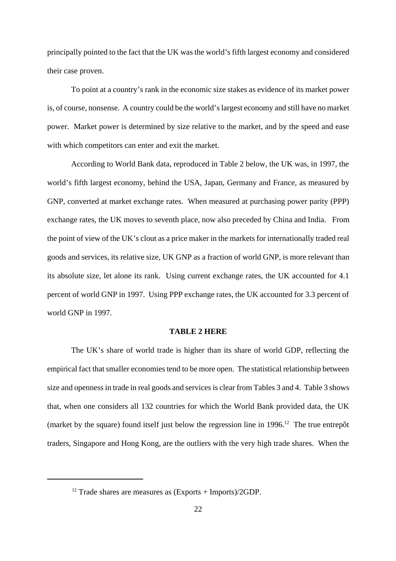principally pointed to the fact that the UK was the world's fifth largest economy and considered their case proven.

To point at a country's rank in the economic size stakes as evidence of its market power is, of course, nonsense. A country could be the world's largest economy and still have no market power. Market power is determined by size relative to the market, and by the speed and ease with which competitors can enter and exit the market.

According to World Bank data, reproduced in Table 2 below, the UK was, in 1997, the world's fifth largest economy, behind the USA, Japan, Germany and France, as measured by GNP, converted at market exchange rates. When measured at purchasing power parity (PPP) exchange rates, the UK moves to seventh place, now also preceded by China and India. From the point of view of the UK's clout as a price maker in the markets for internationally traded real goods and services, its relative size, UK GNP as a fraction of world GNP, is more relevant than its absolute size, let alone its rank. Using current exchange rates, the UK accounted for 4.1 percent of world GNP in 1997. Using PPP exchange rates, the UK accounted for 3.3 percent of world GNP in 1997.

#### **TABLE 2 HERE**

The UK's share of world trade is higher than its share of world GDP, reflecting the empirical fact that smaller economies tend to be more open. The statistical relationship between size and openness in trade in real goods and services is clear from Tables 3 and 4. Table 3 shows that, when one considers all 132 countries for which the World Bank provided data, the UK (market by the square) found itself just below the regression line in  $1996$ <sup>12</sup>. The true entrepôt traders, Singapore and Hong Kong, are the outliers with the very high trade shares. When the

<sup>12</sup> Trade shares are measures as (Exports + Imports)/2GDP.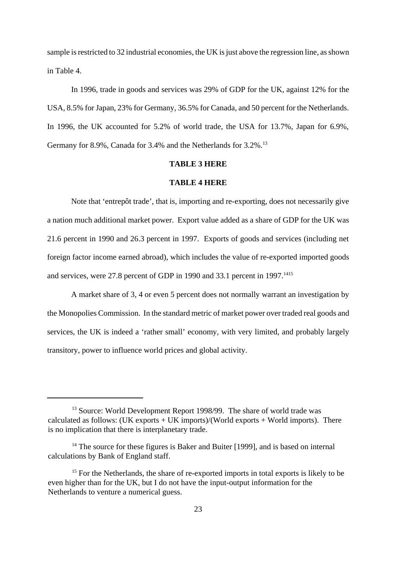sample is restricted to 32 industrial economies, the UK is just above the regression line, as shown in Table 4.

In 1996, trade in goods and services was 29% of GDP for the UK, against 12% for the USA, 8.5% for Japan, 23% for Germany, 36.5% for Canada, and 50 percent for the Netherlands. In 1996, the UK accounted for 5.2% of world trade, the USA for 13.7%, Japan for 6.9%, Germany for 8.9%, Canada for 3.4% and the Netherlands for 3.2%.<sup>13</sup>

#### **TABLE 3 HERE**

#### **TABLE 4 HERE**

Note that 'entrepôt trade', that is, importing and re-exporting, does not necessarily give a nation much additional market power. Export value added as a share of GDP for the UK was 21.6 percent in 1990 and 26.3 percent in 1997. Exports of goods and services (including net foreign factor income earned abroad), which includes the value of re-exported imported goods and services, were 27.8 percent of GDP in 1990 and 33.1 percent in 1997.<sup>1415</sup>

A market share of 3, 4 or even 5 percent does not normally warrant an investigation by the Monopolies Commission. In the standard metric of market power over traded real goods and services, the UK is indeed a 'rather small' economy, with very limited, and probably largely transitory, power to influence world prices and global activity.

<sup>&</sup>lt;sup>13</sup> Source: World Development Report 1998/99. The share of world trade was calculated as follows: (UK exports  $+$  UK imports)/(World exports  $+$  World imports). There is no implication that there is interplanetary trade.

<sup>&</sup>lt;sup>14</sup> The source for these figures is Baker and Buiter [1999], and is based on internal calculations by Bank of England staff.

 $15$  For the Netherlands, the share of re-exported imports in total exports is likely to be even higher than for the UK, but I do not have the input-output information for the Netherlands to venture a numerical guess.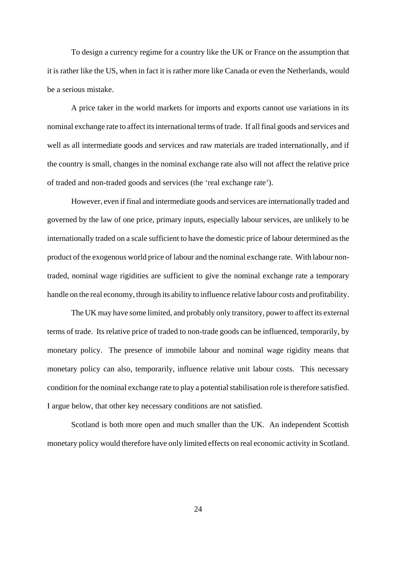To design a currency regime for a country like the UK or France on the assumption that it is rather like the US, when in fact it is rather more like Canada or even the Netherlands, would be a serious mistake.

A price taker in the world markets for imports and exports cannot use variations in its nominal exchange rate to affect its international terms of trade. If all final goods and services and well as all intermediate goods and services and raw materials are traded internationally, and if the country is small, changes in the nominal exchange rate also will not affect the relative price of traded and non-traded goods and services (the 'real exchange rate').

However, even if final and intermediate goods and services are internationally traded and governed by the law of one price, primary inputs, especially labour services, are unlikely to be internationally traded on a scale sufficient to have the domestic price of labour determined as the product of the exogenous world price of labour and the nominal exchange rate. With labour nontraded, nominal wage rigidities are sufficient to give the nominal exchange rate a temporary handle on the real economy, through its ability to influence relative labour costs and profitability.

The UK may have some limited, and probably only transitory, power to affect its external terms of trade. Its relative price of traded to non-trade goods can be influenced, temporarily, by monetary policy. The presence of immobile labour and nominal wage rigidity means that monetary policy can also, temporarily, influence relative unit labour costs. This necessary condition for the nominal exchange rate to play a potential stabilisation role is therefore satisfied. I argue below, that other key necessary conditions are not satisfied.

Scotland is both more open and much smaller than the UK. An independent Scottish monetary policy would therefore have only limited effects on real economic activity in Scotland.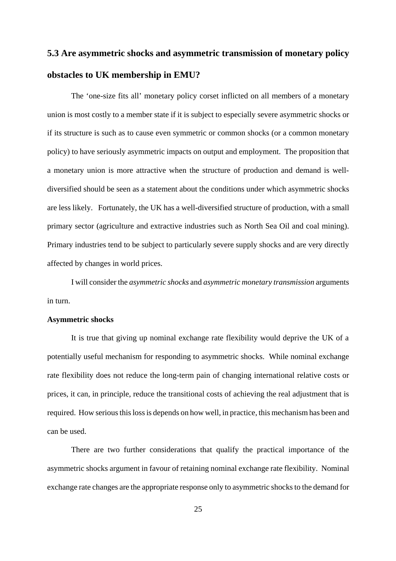# **5.3 Are asymmetric shocks and asymmetric transmission of monetary policy obstacles to UK membership in EMU?**

The 'one-size fits all' monetary policy corset inflicted on all members of a monetary union is most costly to a member state if it is subject to especially severe asymmetric shocks or if its structure is such as to cause even symmetric or common shocks (or a common monetary policy) to have seriously asymmetric impacts on output and employment. The proposition that a monetary union is more attractive when the structure of production and demand is welldiversified should be seen as a statement about the conditions under which asymmetric shocks are less likely. Fortunately, the UK has a well-diversified structure of production, with a small primary sector (agriculture and extractive industries such as North Sea Oil and coal mining). Primary industries tend to be subject to particularly severe supply shocks and are very directly affected by changes in world prices.

I will consider the *asymmetric shocks* and *asymmetric monetary transmission* arguments in turn.

#### **Asymmetric shocks**

It is true that giving up nominal exchange rate flexibility would deprive the UK of a potentially useful mechanism for responding to asymmetric shocks. While nominal exchange rate flexibility does not reduce the long-term pain of changing international relative costs or prices, it can, in principle, reduce the transitional costs of achieving the real adjustment that is required. How serious this loss is depends on how well, in practice, this mechanism has been and can be used.

There are two further considerations that qualify the practical importance of the asymmetric shocks argument in favour of retaining nominal exchange rate flexibility. Nominal exchange rate changes are the appropriate response only to asymmetric shocks to the demand for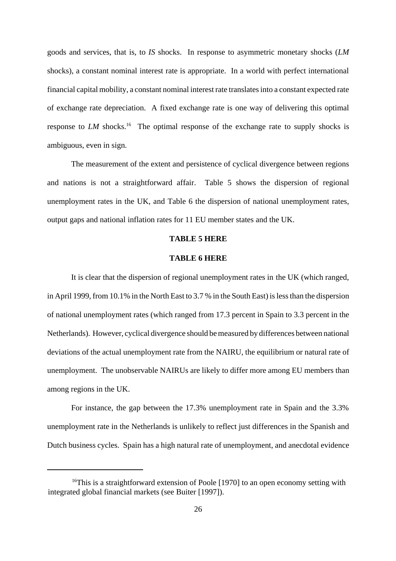goods and services, that is, to *IS* shocks. In response to asymmetric monetary shocks (*LM* shocks), a constant nominal interest rate is appropriate. In a world with perfect international financial capital mobility, a constant nominal interest rate translates into a constant expected rate of exchange rate depreciation. A fixed exchange rate is one way of delivering this optimal response to  $LM$  shocks.<sup>16</sup> The optimal response of the exchange rate to supply shocks is ambiguous, even in sign.

The measurement of the extent and persistence of cyclical divergence between regions and nations is not a straightforward affair. Table 5 shows the dispersion of regional unemployment rates in the UK, and Table 6 the dispersion of national unemployment rates, output gaps and national inflation rates for 11 EU member states and the UK.

#### **TABLE 5 HERE**

#### **TABLE 6 HERE**

It is clear that the dispersion of regional unemployment rates in the UK (which ranged, in April 1999, from 10.1% in the North East to 3.7 % in the South East) is less than the dispersion of national unemployment rates (which ranged from 17.3 percent in Spain to 3.3 percent in the Netherlands). However, cyclical divergence should be measured by differences between national deviations of the actual unemployment rate from the NAIRU, the equilibrium or natural rate of unemployment. The unobservable NAIRUs are likely to differ more among EU members than among regions in the UK.

For instance, the gap between the 17.3% unemployment rate in Spain and the 3.3% unemployment rate in the Netherlands is unlikely to reflect just differences in the Spanish and Dutch business cycles. Spain has a high natural rate of unemployment, and anecdotal evidence

 $16$ This is a straightforward extension of Poole [1970] to an open economy setting with integrated global financial markets (see Buiter [1997]).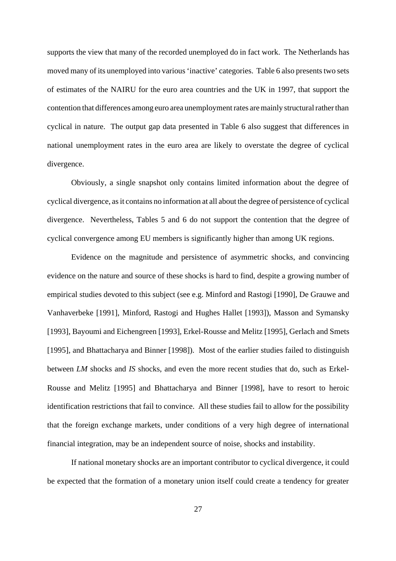supports the view that many of the recorded unemployed do in fact work. The Netherlands has moved many of its unemployed into various 'inactive' categories. Table 6 also presents two sets of estimates of the NAIRU for the euro area countries and the UK in 1997, that support the contention that differences among euro area unemployment rates are mainly structural rather than cyclical in nature. The output gap data presented in Table 6 also suggest that differences in national unemployment rates in the euro area are likely to overstate the degree of cyclical divergence.

Obviously, a single snapshot only contains limited information about the degree of cyclical divergence, as it contains no information at all about the degree of persistence of cyclical divergence. Nevertheless, Tables 5 and 6 do not support the contention that the degree of cyclical convergence among EU members is significantly higher than among UK regions.

Evidence on the magnitude and persistence of asymmetric shocks, and convincing evidence on the nature and source of these shocks is hard to find, despite a growing number of empirical studies devoted to this subject (see e.g. Minford and Rastogi [1990], De Grauwe and Vanhaverbeke [1991], Minford, Rastogi and Hughes Hallet [1993]), Masson and Symansky [1993], Bayoumi and Eichengreen [1993], Erkel-Rousse and Melitz [1995], Gerlach and Smets [1995], and Bhattacharya and Binner [1998]). Most of the earlier studies failed to distinguish between *LM* shocks and *IS* shocks, and even the more recent studies that do, such as Erkel-Rousse and Melitz [1995] and Bhattacharya and Binner [1998], have to resort to heroic identification restrictions that fail to convince. All these studies fail to allow for the possibility that the foreign exchange markets, under conditions of a very high degree of international financial integration, may be an independent source of noise, shocks and instability.

If national monetary shocks are an important contributor to cyclical divergence, it could be expected that the formation of a monetary union itself could create a tendency for greater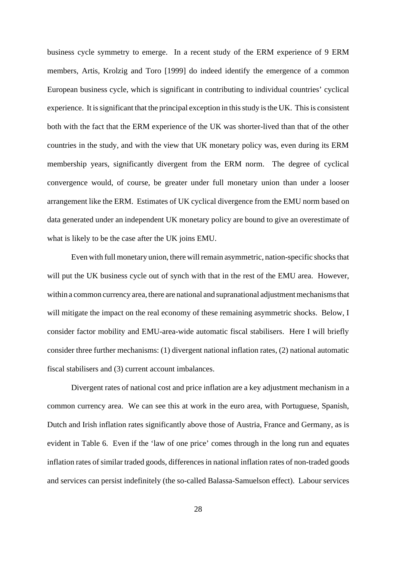business cycle symmetry to emerge. In a recent study of the ERM experience of 9 ERM members, Artis, Krolzig and Toro [1999] do indeed identify the emergence of a common European business cycle, which is significant in contributing to individual countries' cyclical experience. It is significant that the principal exception in this study is the UK. This is consistent both with the fact that the ERM experience of the UK was shorter-lived than that of the other countries in the study, and with the view that UK monetary policy was, even during its ERM membership years, significantly divergent from the ERM norm. The degree of cyclical convergence would, of course, be greater under full monetary union than under a looser arrangement like the ERM. Estimates of UK cyclical divergence from the EMU norm based on data generated under an independent UK monetary policy are bound to give an overestimate of what is likely to be the case after the UK joins EMU.

Even with full monetary union, there will remain asymmetric, nation-specific shocks that will put the UK business cycle out of synch with that in the rest of the EMU area. However, within a common currency area, there are national and supranational adjustment mechanisms that will mitigate the impact on the real economy of these remaining asymmetric shocks. Below, I consider factor mobility and EMU-area-wide automatic fiscal stabilisers. Here I will briefly consider three further mechanisms: (1) divergent national inflation rates, (2) national automatic fiscal stabilisers and (3) current account imbalances.

Divergent rates of national cost and price inflation are a key adjustment mechanism in a common currency area. We can see this at work in the euro area, with Portuguese, Spanish, Dutch and Irish inflation rates significantly above those of Austria, France and Germany, as is evident in Table 6. Even if the 'law of one price' comes through in the long run and equates inflation rates of similar traded goods, differences in national inflation rates of non-traded goods and services can persist indefinitely (the so-called Balassa-Samuelson effect). Labour services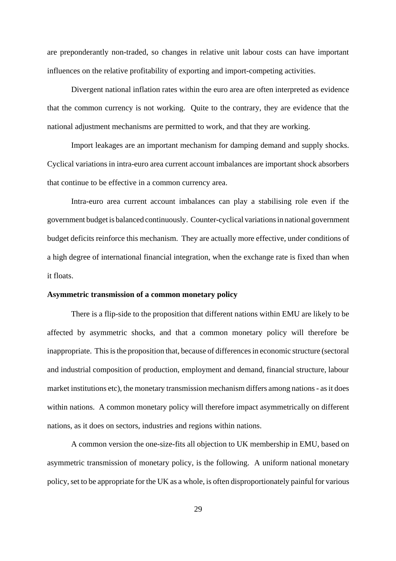are preponderantly non-traded, so changes in relative unit labour costs can have important influences on the relative profitability of exporting and import-competing activities.

Divergent national inflation rates within the euro area are often interpreted as evidence that the common currency is not working. Quite to the contrary, they are evidence that the national adjustment mechanisms are permitted to work, and that they are working.

Import leakages are an important mechanism for damping demand and supply shocks. Cyclical variations in intra-euro area current account imbalances are important shock absorbers that continue to be effective in a common currency area.

Intra-euro area current account imbalances can play a stabilising role even if the government budget is balanced continuously. Counter-cyclical variations in national government budget deficits reinforce this mechanism. They are actually more effective, under conditions of a high degree of international financial integration, when the exchange rate is fixed than when it floats.

#### **Asymmetric transmission of a common monetary policy**

There is a flip-side to the proposition that different nations within EMU are likely to be affected by asymmetric shocks, and that a common monetary policy will therefore be inappropriate. This is the proposition that, because of differences in economic structure (sectoral and industrial composition of production, employment and demand, financial structure, labour market institutions etc), the monetary transmission mechanism differs among nations - as it does within nations. A common monetary policy will therefore impact asymmetrically on different nations, as it does on sectors, industries and regions within nations.

A common version the one-size-fits all objection to UK membership in EMU, based on asymmetric transmission of monetary policy, is the following. A uniform national monetary policy, set to be appropriate for the UK as a whole, is often disproportionately painful for various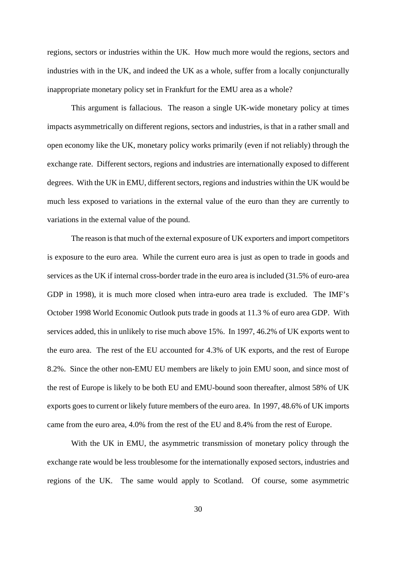regions, sectors or industries within the UK. How much more would the regions, sectors and industries with in the UK, and indeed the UK as a whole, suffer from a locally conjuncturally inappropriate monetary policy set in Frankfurt for the EMU area as a whole?

This argument is fallacious. The reason a single UK-wide monetary policy at times impacts asymmetrically on different regions, sectors and industries, is that in a rather small and open economy like the UK, monetary policy works primarily (even if not reliably) through the exchange rate. Different sectors, regions and industries are internationally exposed to different degrees. With the UK in EMU, different sectors, regions and industries within the UK would be much less exposed to variations in the external value of the euro than they are currently to variations in the external value of the pound.

The reason is that much of the external exposure of UK exporters and import competitors is exposure to the euro area. While the current euro area is just as open to trade in goods and services as the UK if internal cross-border trade in the euro area is included (31.5% of euro-area GDP in 1998), it is much more closed when intra-euro area trade is excluded. The IMF's October 1998 World Economic Outlook puts trade in goods at 11.3 % of euro area GDP. With services added, this in unlikely to rise much above 15%. In 1997, 46.2% of UK exports went to the euro area. The rest of the EU accounted for 4.3% of UK exports, and the rest of Europe 8.2%. Since the other non-EMU EU members are likely to join EMU soon, and since most of the rest of Europe is likely to be both EU and EMU-bound soon thereafter, almost 58% of UK exports goes to current or likely future members of the euro area. In 1997, 48.6% of UK imports came from the euro area, 4.0% from the rest of the EU and 8.4% from the rest of Europe.

With the UK in EMU, the asymmetric transmission of monetary policy through the exchange rate would be less troublesome for the internationally exposed sectors, industries and regions of the UK. The same would apply to Scotland. Of course, some asymmetric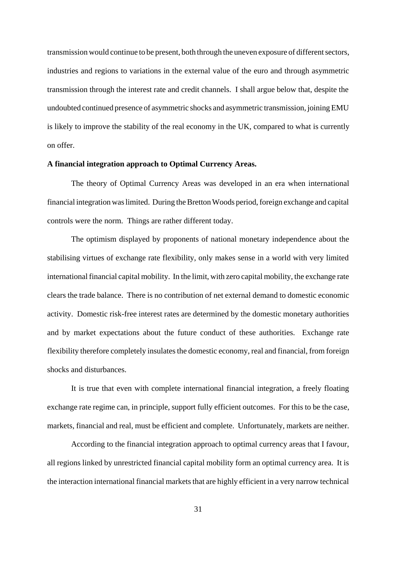transmission would continue to be present, both through the uneven exposure of different sectors, industries and regions to variations in the external value of the euro and through asymmetric transmission through the interest rate and credit channels. I shall argue below that, despite the undoubted continued presence of asymmetric shocks and asymmetric transmission, joining EMU is likely to improve the stability of the real economy in the UK, compared to what is currently on offer.

#### **A financial integration approach to Optimal Currency Areas.**

The theory of Optimal Currency Areas was developed in an era when international financial integration was limited. During the Bretton Woods period, foreign exchange and capital controls were the norm. Things are rather different today.

The optimism displayed by proponents of national monetary independence about the stabilising virtues of exchange rate flexibility, only makes sense in a world with very limited international financial capital mobility. In the limit, with zero capital mobility, the exchange rate clears the trade balance. There is no contribution of net external demand to domestic economic activity. Domestic risk-free interest rates are determined by the domestic monetary authorities and by market expectations about the future conduct of these authorities. Exchange rate flexibility therefore completely insulates the domestic economy, real and financial, from foreign shocks and disturbances.

It is true that even with complete international financial integration, a freely floating exchange rate regime can, in principle, support fully efficient outcomes. For this to be the case, markets, financial and real, must be efficient and complete. Unfortunately, markets are neither.

According to the financial integration approach to optimal currency areas that I favour, all regions linked by unrestricted financial capital mobility form an optimal currency area. It is the interaction international financial markets that are highly efficient in a very narrow technical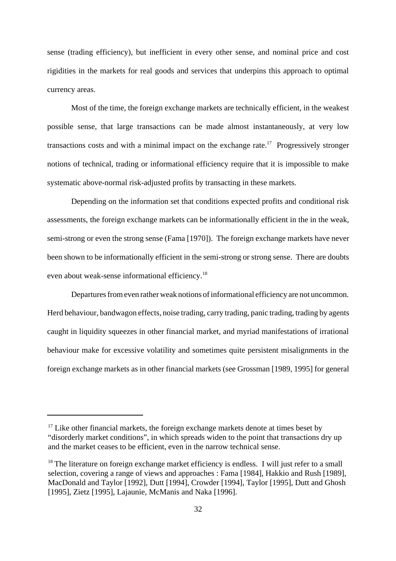sense (trading efficiency), but inefficient in every other sense, and nominal price and cost rigidities in the markets for real goods and services that underpins this approach to optimal currency areas.

Most of the time, the foreign exchange markets are technically efficient, in the weakest possible sense, that large transactions can be made almost instantaneously, at very low transactions costs and with a minimal impact on the exchange rate.<sup>17</sup> Progressively stronger notions of technical, trading or informational efficiency require that it is impossible to make systematic above-normal risk-adjusted profits by transacting in these markets.

Depending on the information set that conditions expected profits and conditional risk assessments, the foreign exchange markets can be informationally efficient in the in the weak, semi-strong or even the strong sense (Fama [1970]). The foreign exchange markets have never been shown to be informationally efficient in the semi-strong or strong sense. There are doubts even about weak-sense informational efficiency.<sup>18</sup>

Departures from even rather weak notions of informational efficiency are not uncommon. Herd behaviour, bandwagon effects, noise trading, carry trading, panic trading, trading by agents caught in liquidity squeezes in other financial market, and myriad manifestations of irrational behaviour make for excessive volatility and sometimes quite persistent misalignments in the foreign exchange markets as in other financial markets (see Grossman [1989, 1995] for general

 $17$  Like other financial markets, the foreign exchange markets denote at times beset by "disorderly market conditions", in which spreads widen to the point that transactions dry up and the market ceases to be efficient, even in the narrow technical sense.

 $18$  The literature on foreign exchange market efficiency is endless. I will just refer to a small selection, covering a range of views and approaches : Fama [1984], Hakkio and Rush [1989], MacDonald and Taylor [1992], Dutt [1994], Crowder [1994], Taylor [1995], Dutt and Ghosh [1995], Zietz [1995], Lajaunie, McManis and Naka [1996].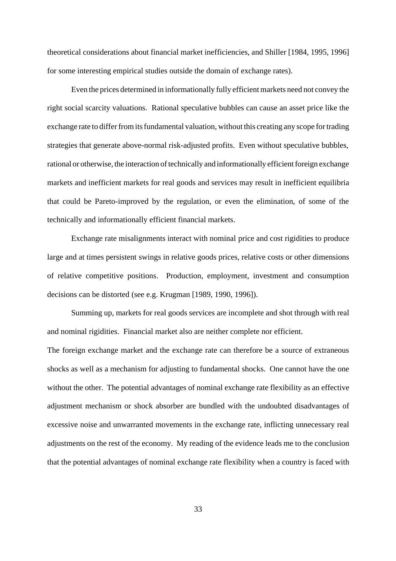theoretical considerations about financial market inefficiencies, and Shiller [1984, 1995, 1996] for some interesting empirical studies outside the domain of exchange rates).

Even the prices determined in informationally fully efficient markets need not convey the right social scarcity valuations. Rational speculative bubbles can cause an asset price like the exchange rate to differ from its fundamental valuation, without this creating any scope for trading strategies that generate above-normal risk-adjusted profits. Even without speculative bubbles, rational or otherwise, the interaction of technically and informationally efficient foreign exchange markets and inefficient markets for real goods and services may result in inefficient equilibria that could be Pareto-improved by the regulation, or even the elimination, of some of the technically and informationally efficient financial markets.

Exchange rate misalignments interact with nominal price and cost rigidities to produce large and at times persistent swings in relative goods prices, relative costs or other dimensions of relative competitive positions. Production, employment, investment and consumption decisions can be distorted (see e.g. Krugman [1989, 1990, 1996]).

Summing up, markets for real goods services are incomplete and shot through with real and nominal rigidities. Financial market also are neither complete nor efficient.

The foreign exchange market and the exchange rate can therefore be a source of extraneous shocks as well as a mechanism for adjusting to fundamental shocks. One cannot have the one without the other. The potential advantages of nominal exchange rate flexibility as an effective adjustment mechanism or shock absorber are bundled with the undoubted disadvantages of excessive noise and unwarranted movements in the exchange rate, inflicting unnecessary real adjustments on the rest of the economy. My reading of the evidence leads me to the conclusion that the potential advantages of nominal exchange rate flexibility when a country is faced with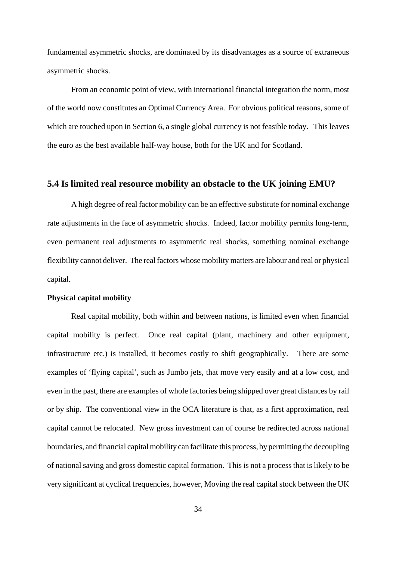fundamental asymmetric shocks, are dominated by its disadvantages as a source of extraneous asymmetric shocks.

From an economic point of view, with international financial integration the norm, most of the world now constitutes an Optimal Currency Area. For obvious political reasons, some of which are touched upon in Section 6, a single global currency is not feasible today. This leaves the euro as the best available half-way house, both for the UK and for Scotland.

#### **5.4 Is limited real resource mobility an obstacle to the UK joining EMU?**

A high degree of real factor mobility can be an effective substitute for nominal exchange rate adjustments in the face of asymmetric shocks. Indeed, factor mobility permits long-term, even permanent real adjustments to asymmetric real shocks, something nominal exchange flexibility cannot deliver. The real factors whose mobility matters are labour and real or physical capital.

#### **Physical capital mobility**

Real capital mobility, both within and between nations, is limited even when financial capital mobility is perfect. Once real capital (plant, machinery and other equipment, infrastructure etc.) is installed, it becomes costly to shift geographically. There are some examples of 'flying capital', such as Jumbo jets, that move very easily and at a low cost, and even in the past, there are examples of whole factories being shipped over great distances by rail or by ship. The conventional view in the OCA literature is that, as a first approximation, real capital cannot be relocated. New gross investment can of course be redirected across national boundaries, and financial capital mobility can facilitate this process, by permitting the decoupling of national saving and gross domestic capital formation. This is not a process that is likely to be very significant at cyclical frequencies, however, Moving the real capital stock between the UK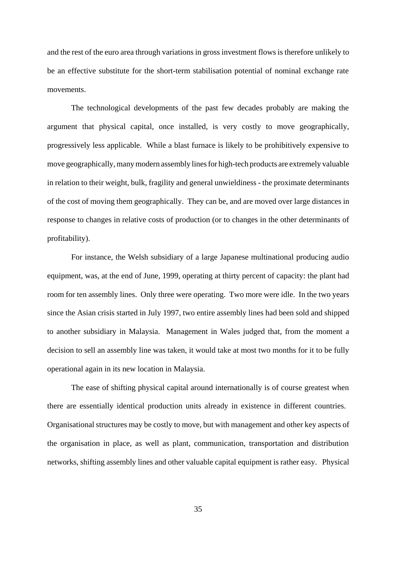and the rest of the euro area through variations in gross investment flows is therefore unlikely to be an effective substitute for the short-term stabilisation potential of nominal exchange rate movements.

The technological developments of the past few decades probably are making the argument that physical capital, once installed, is very costly to move geographically, progressively less applicable. While a blast furnace is likely to be prohibitively expensive to move geographically, many modern assembly lines for high-tech products are extremely valuable in relation to their weight, bulk, fragility and general unwieldiness - the proximate determinants of the cost of moving them geographically. They can be, and are moved over large distances in response to changes in relative costs of production (or to changes in the other determinants of profitability).

For instance, the Welsh subsidiary of a large Japanese multinational producing audio equipment, was, at the end of June, 1999, operating at thirty percent of capacity: the plant had room for ten assembly lines. Only three were operating. Two more were idle. In the two years since the Asian crisis started in July 1997, two entire assembly lines had been sold and shipped to another subsidiary in Malaysia. Management in Wales judged that, from the moment a decision to sell an assembly line was taken, it would take at most two months for it to be fully operational again in its new location in Malaysia.

The ease of shifting physical capital around internationally is of course greatest when there are essentially identical production units already in existence in different countries. Organisational structures may be costly to move, but with management and other key aspects of the organisation in place, as well as plant, communication, transportation and distribution networks, shifting assembly lines and other valuable capital equipment is rather easy. Physical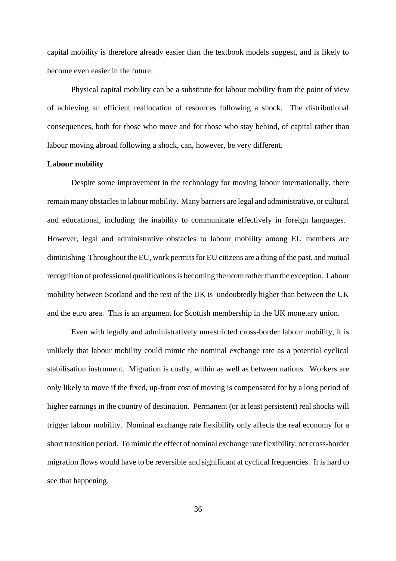capital mobility is therefore already easier than the textbook models suggest, and is likely to become even easier in the future.

Physical capital mobility can be a substitute for labour mobility from the point of view of achieving an efficient reallocation of resources following a shock. The distributional consequences, both for those who move and for those who stay behind, of capital rather than labour moving abroad following a shock, can, however, be very different.

#### **Labour mobility**

Despite some improvement in the technology for moving labour internationally, there remain many obstacles to labour mobility. Many barriers are legal and administrative, or cultural and educational, including the inability to communicate effectively in foreign languages. However, legal and administrative obstacles to labour mobility among EU members are diminishing Throughout the EU, work permits for EU citizens are a thing of the past, and mutual recognition of professional qualifications is becoming the norm rather than the exception. Labour mobility between Scotland and the rest of the UK is undoubtedly higher than between the UK and the euro area. This is an argument for Scottish membership in the UK monetary union.

Even with legally and administratively unrestricted cross-border labour mobility, it is unlikely that labour mobility could mimic the nominal exchange rate as a potential cyclical stabilisation instrument. Migration is costly, within as well as between nations. Workers are only likely to move if the fixed, up-front cost of moving is compensated for by a long period of higher earnings in the country of destination. Permanent (or at least persistent) real shocks will trigger labour mobility. Nominal exchange rate flexibility only affects the real economy for a short transition period. To mimic the effect of nominal exchange rate flexibility, net cross-border migration flows would have to be reversible and significant at cyclical frequencies. It is hard to see that happening.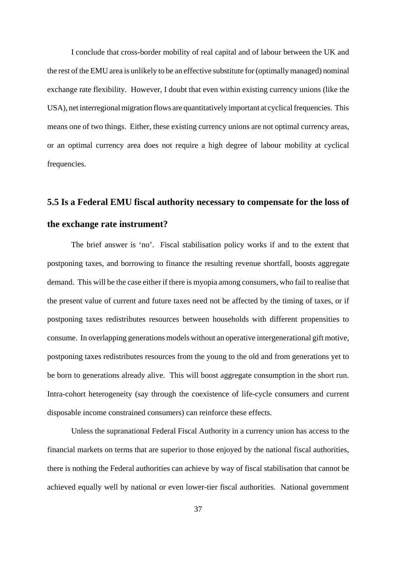I conclude that cross-border mobility of real capital and of labour between the UK and the rest of the EMU area is unlikely to be an effective substitute for (optimally managed) nominal exchange rate flexibility. However, I doubt that even within existing currency unions (like the USA), net interregional migration flows are quantitatively important at cyclical frequencies. This means one of two things. Either, these existing currency unions are not optimal currency areas, or an optimal currency area does not require a high degree of labour mobility at cyclical frequencies.

# **5.5 Is a Federal EMU fiscal authority necessary to compensate for the loss of the exchange rate instrument?**

The brief answer is 'no'. Fiscal stabilisation policy works if and to the extent that postponing taxes, and borrowing to finance the resulting revenue shortfall, boosts aggregate demand. This will be the case either if there is myopia among consumers, who fail to realise that the present value of current and future taxes need not be affected by the timing of taxes, or if postponing taxes redistributes resources between households with different propensities to consume. In overlapping generations models without an operative intergenerational gift motive, postponing taxes redistributes resources from the young to the old and from generations yet to be born to generations already alive. This will boost aggregate consumption in the short run. Intra-cohort heterogeneity (say through the coexistence of life-cycle consumers and current disposable income constrained consumers) can reinforce these effects.

Unless the supranational Federal Fiscal Authority in a currency union has access to the financial markets on terms that are superior to those enjoyed by the national fiscal authorities, there is nothing the Federal authorities can achieve by way of fiscal stabilisation that cannot be achieved equally well by national or even lower-tier fiscal authorities. National government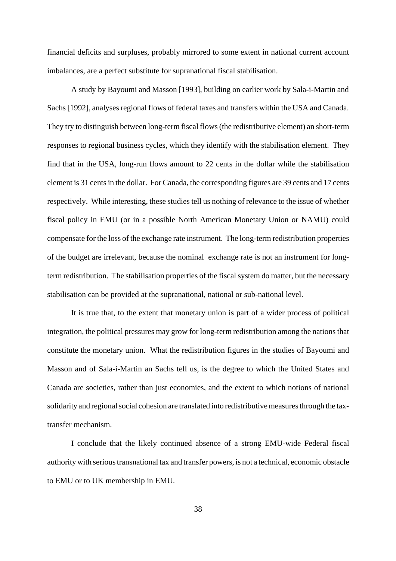financial deficits and surpluses, probably mirrored to some extent in national current account imbalances, are a perfect substitute for supranational fiscal stabilisation.

A study by Bayoumi and Masson [1993], building on earlier work by Sala-i-Martin and Sachs [1992], analyses regional flows of federal taxes and transfers within the USA and Canada. They try to distinguish between long-term fiscal flows (the redistributive element) an short-term responses to regional business cycles, which they identify with the stabilisation element. They find that in the USA, long-run flows amount to 22 cents in the dollar while the stabilisation element is 31 cents in the dollar. For Canada, the corresponding figures are 39 cents and 17 cents respectively. While interesting, these studies tell us nothing of relevance to the issue of whether fiscal policy in EMU (or in a possible North American Monetary Union or NAMU) could compensate for the loss of the exchange rate instrument. The long-term redistribution properties of the budget are irrelevant, because the nominal exchange rate is not an instrument for longterm redistribution. The stabilisation properties of the fiscal system do matter, but the necessary stabilisation can be provided at the supranational, national or sub-national level.

It is true that, to the extent that monetary union is part of a wider process of political integration, the political pressures may grow for long-term redistribution among the nations that constitute the monetary union. What the redistribution figures in the studies of Bayoumi and Masson and of Sala-i-Martin an Sachs tell us, is the degree to which the United States and Canada are societies, rather than just economies, and the extent to which notions of national solidarity and regional social cohesion are translated into redistributive measures through the taxtransfer mechanism.

I conclude that the likely continued absence of a strong EMU-wide Federal fiscal authority with serious transnational tax and transfer powers, is not a technical, economic obstacle to EMU or to UK membership in EMU.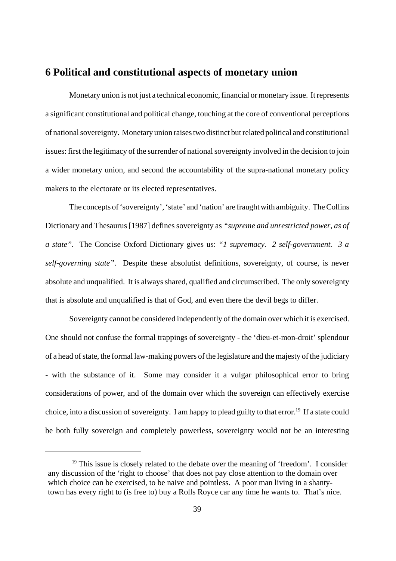### **6 Political and constitutional aspects of monetary union**

Monetary union is not just a technical economic, financial or monetary issue. It represents a significant constitutional and political change, touching at the core of conventional perceptions of national sovereignty. Monetary union raises two distinct but related political and constitutional issues: first the legitimacy of the surrender of national sovereignty involved in the decision to join a wider monetary union, and second the accountability of the supra-national monetary policy makers to the electorate or its elected representatives.

The concepts of 'sovereignty', 'state' and 'nation' are fraught with ambiguity. The Collins Dictionary and Thesaurus [1987] defines sovereignty as *"supreme and unrestricted power, as of a state"*. The Concise Oxford Dictionary gives us: *"1 supremacy. 2 self-government. 3 a self-governing state"*. Despite these absolutist definitions, sovereignty, of course, is never absolute and unqualified. It is always shared, qualified and circumscribed. The only sovereignty that is absolute and unqualified is that of God, and even there the devil begs to differ.

Sovereignty cannot be considered independently of the domain over which it is exercised. One should not confuse the formal trappings of sovereignty - the 'dieu-et-mon-droit' splendour of a head of state, the formal law-making powers of the legislature and the majesty of the judiciary - with the substance of it. Some may consider it a vulgar philosophical error to bring considerations of power, and of the domain over which the sovereign can effectively exercise choice, into a discussion of sovereignty. I am happy to plead guilty to that error.<sup>19</sup> If a state could be both fully sovereign and completely powerless, sovereignty would not be an interesting

 $19$  This issue is closely related to the debate over the meaning of 'freedom'. I consider any discussion of the 'right to choose' that does not pay close attention to the domain over which choice can be exercised, to be naive and pointless. A poor man living in a shantytown has every right to (is free to) buy a Rolls Royce car any time he wants to. That's nice.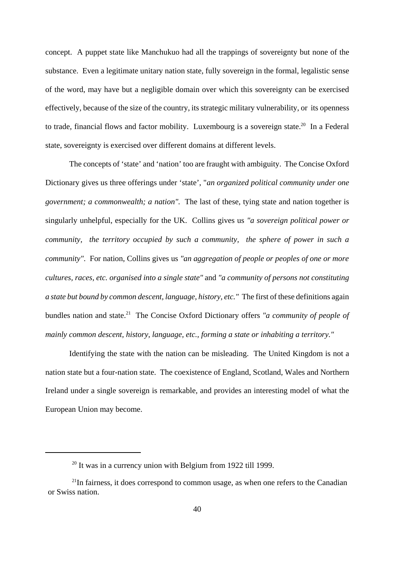concept. A puppet state like Manchukuo had all the trappings of sovereignty but none of the substance. Even a legitimate unitary nation state, fully sovereign in the formal, legalistic sense of the word, may have but a negligible domain over which this sovereignty can be exercised effectively, because of the size of the country, its strategic military vulnerability, or its openness to trade, financial flows and factor mobility. Luxembourg is a sovereign state.<sup>20</sup> In a Federal state, sovereignty is exercised over different domains at different levels.

The concepts of 'state' and 'nation' too are fraught with ambiguity. The Concise Oxford Dictionary gives us three offerings under 'state', "*an organized political community under one government; a commonwealth; a nation"*. The last of these, tying state and nation together is singularly unhelpful, especially for the UK. Collins gives us *"a sovereign political power or community, the territory occupied by such a community, the sphere of power in such a community"*. For nation, Collins gives us *"an aggregation of people or peoples of one or more cultures, races, etc. organised into a single state"* and *"a community of persons not constituting a state but bound by common descent, language, history, etc."* The first of these definitions again bundles nation and state.<sup>21</sup> The Concise Oxford Dictionary offers *"a community of people of mainly common descent, history, language, etc., forming a state or inhabiting a territory."*

Identifying the state with the nation can be misleading. The United Kingdom is not a nation state but a four-nation state. The coexistence of England, Scotland, Wales and Northern Ireland under a single sovereign is remarkable, and provides an interesting model of what the European Union may become.

 $20$  It was in a currency union with Belgium from 1922 till 1999.

 $21$ In fairness, it does correspond to common usage, as when one refers to the Canadian or Swiss nation.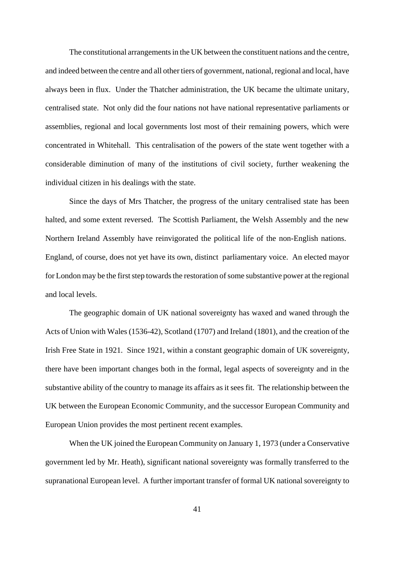The constitutional arrangements in the UK between the constituent nations and the centre, and indeed between the centre and all other tiers of government, national, regional and local, have always been in flux. Under the Thatcher administration, the UK became the ultimate unitary, centralised state. Not only did the four nations not have national representative parliaments or assemblies, regional and local governments lost most of their remaining powers, which were concentrated in Whitehall. This centralisation of the powers of the state went together with a considerable diminution of many of the institutions of civil society, further weakening the individual citizen in his dealings with the state.

Since the days of Mrs Thatcher, the progress of the unitary centralised state has been halted, and some extent reversed. The Scottish Parliament, the Welsh Assembly and the new Northern Ireland Assembly have reinvigorated the political life of the non-English nations. England, of course, does not yet have its own, distinct parliamentary voice. An elected mayor for London may be the first step towards the restoration of some substantive power at the regional and local levels.

The geographic domain of UK national sovereignty has waxed and waned through the Acts of Union with Wales (1536-42), Scotland (1707) and Ireland (1801), and the creation of the Irish Free State in 1921. Since 1921, within a constant geographic domain of UK sovereignty, there have been important changes both in the formal, legal aspects of sovereignty and in the substantive ability of the country to manage its affairs as it sees fit. The relationship between the UK between the European Economic Community, and the successor European Community and European Union provides the most pertinent recent examples.

When the UK joined the European Community on January 1, 1973 (under a Conservative government led by Mr. Heath), significant national sovereignty was formally transferred to the supranational European level. A further important transfer of formal UK national sovereignty to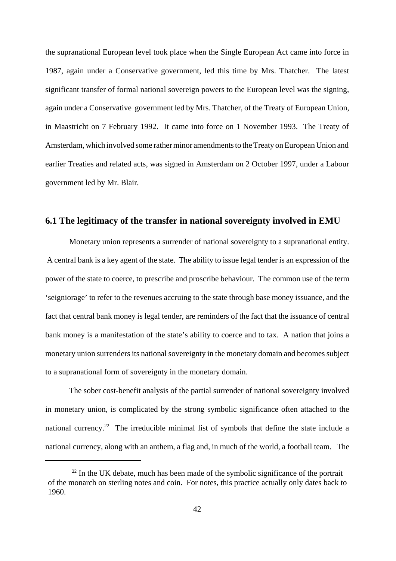the supranational European level took place when the Single European Act came into force in 1987, again under a Conservative government, led this time by Mrs. Thatcher. The latest significant transfer of formal national sovereign powers to the European level was the signing, again under a Conservative government led by Mrs. Thatcher, of the Treaty of European Union, in Maastricht on 7 February 1992. It came into force on 1 November 1993. The Treaty of Amsterdam, which involved some rather minor amendments to the Treaty on European Union and earlier Treaties and related acts, was signed in Amsterdam on 2 October 1997, under a Labour government led by Mr. Blair.

#### **6.1 The legitimacy of the transfer in national sovereignty involved in EMU**

Monetary union represents a surrender of national sovereignty to a supranational entity. A central bank is a key agent of the state. The ability to issue legal tender is an expression of the power of the state to coerce, to prescribe and proscribe behaviour. The common use of the term 'seigniorage' to refer to the revenues accruing to the state through base money issuance, and the fact that central bank money is legal tender, are reminders of the fact that the issuance of central bank money is a manifestation of the state's ability to coerce and to tax. A nation that joins a monetary union surrenders its national sovereignty in the monetary domain and becomes subject to a supranational form of sovereignty in the monetary domain.

The sober cost-benefit analysis of the partial surrender of national sovereignty involved in monetary union, is complicated by the strong symbolic significance often attached to the national currency.<sup>22</sup> The irreducible minimal list of symbols that define the state include a national currency, along with an anthem, a flag and, in much of the world, a football team. The

 $22$  In the UK debate, much has been made of the symbolic significance of the portrait of the monarch on sterling notes and coin. For notes, this practice actually only dates back to 1960.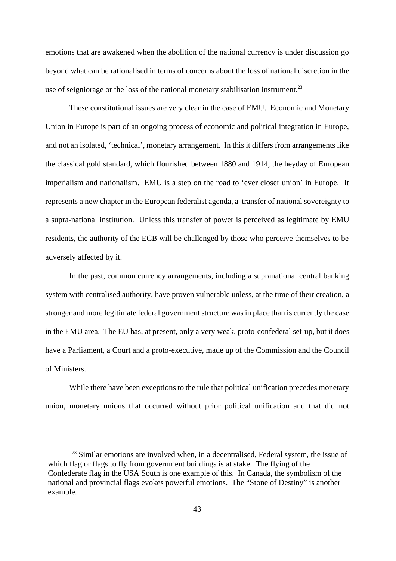emotions that are awakened when the abolition of the national currency is under discussion go beyond what can be rationalised in terms of concerns about the loss of national discretion in the use of seigniorage or the loss of the national monetary stabilisation instrument.<sup>23</sup>

These constitutional issues are very clear in the case of EMU. Economic and Monetary Union in Europe is part of an ongoing process of economic and political integration in Europe, and not an isolated, 'technical', monetary arrangement. In this it differs from arrangements like the classical gold standard, which flourished between 1880 and 1914, the heyday of European imperialism and nationalism. EMU is a step on the road to 'ever closer union' in Europe. It represents a new chapter in the European federalist agenda, a transfer of national sovereignty to a supra-national institution. Unless this transfer of power is perceived as legitimate by EMU residents, the authority of the ECB will be challenged by those who perceive themselves to be adversely affected by it.

In the past, common currency arrangements, including a supranational central banking system with centralised authority, have proven vulnerable unless, at the time of their creation, a stronger and more legitimate federal government structure was in place than is currently the case in the EMU area. The EU has, at present, only a very weak, proto-confederal set-up, but it does have a Parliament, a Court and a proto-executive, made up of the Commission and the Council of Ministers.

While there have been exceptions to the rule that political unification precedes monetary union, monetary unions that occurred without prior political unification and that did not

 $23$  Similar emotions are involved when, in a decentralised, Federal system, the issue of which flag or flags to fly from government buildings is at stake. The flying of the Confederate flag in the USA South is one example of this. In Canada, the symbolism of the national and provincial flags evokes powerful emotions. The "Stone of Destiny" is another example.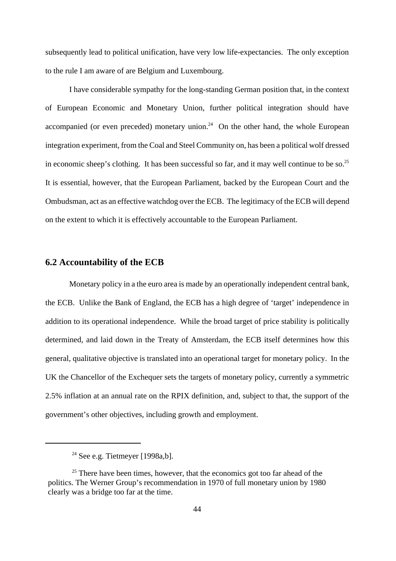subsequently lead to political unification, have very low life-expectancies. The only exception to the rule I am aware of are Belgium and Luxembourg.

I have considerable sympathy for the long-standing German position that, in the context of European Economic and Monetary Union, further political integration should have accompanied (or even preceded) monetary union.<sup>24</sup> On the other hand, the whole European integration experiment, from the Coal and Steel Community on, has been a political wolf dressed in economic sheep's clothing. It has been successful so far, and it may well continue to be so. $^{25}$ It is essential, however, that the European Parliament, backed by the European Court and the Ombudsman, act as an effective watchdog over the ECB. The legitimacy of the ECB will depend on the extent to which it is effectively accountable to the European Parliament.

#### **6.2 Accountability of the ECB**

Monetary policy in a the euro area is made by an operationally independent central bank, the ECB. Unlike the Bank of England, the ECB has a high degree of 'target' independence in addition to its operational independence. While the broad target of price stability is politically determined, and laid down in the Treaty of Amsterdam, the ECB itself determines how this general, qualitative objective is translated into an operational target for monetary policy. In the UK the Chancellor of the Exchequer sets the targets of monetary policy, currently a symmetric 2.5% inflation at an annual rate on the RPIX definition, and, subject to that, the support of the government's other objectives, including growth and employment.

<sup>&</sup>lt;sup>24</sup> See e.g. Tietmeyer [1998a,b].

 $25$  There have been times, however, that the economics got too far ahead of the politics. The Werner Group's recommendation in 1970 of full monetary union by 1980 clearly was a bridge too far at the time.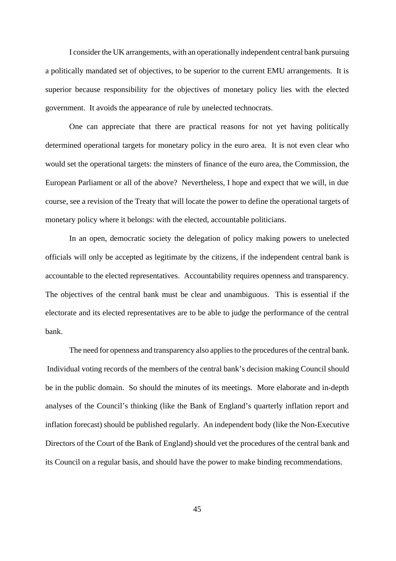I consider the UK arrangements, with an operationally independent central bank pursuing a politically mandated set of objectives, to be superior to the current EMU arrangements. It is superior because responsibility for the objectives of monetary policy lies with the elected government. It avoids the appearance of rule by unelected technocrats.

One can appreciate that there are practical reasons for not yet having politically determined operational targets for monetary policy in the euro area. It is not even clear who would set the operational targets: the minsters of finance of the euro area, the Commission, the European Parliament or all of the above? Nevertheless, I hope and expect that we will, in due course, see a revision of the Treaty that will locate the power to define the operational targets of monetary policy where it belongs: with the elected, accountable politicians.

In an open, democratic society the delegation of policy making powers to unelected officials will only be accepted as legitimate by the citizens, if the independent central bank is accountable to the elected representatives. Accountability requires openness and transparency. The objectives of the central bank must be clear and unambiguous. This is essential if the electorate and its elected representatives are to be able to judge the performance of the central bank.

The need for openness and transparency also applies to the procedures of the central bank. Individual voting records of the members of the central bank's decision making Council should be in the public domain. So should the minutes of its meetings. More elaborate and in-depth analyses of the Council's thinking (like the Bank of England's quarterly inflation report and inflation forecast) should be published regularly. An independent body (like the Non-Executive Directors of the Court of the Bank of England) should vet the procedures of the central bank and its Council on a regular basis, and should have the power to make binding recommendations.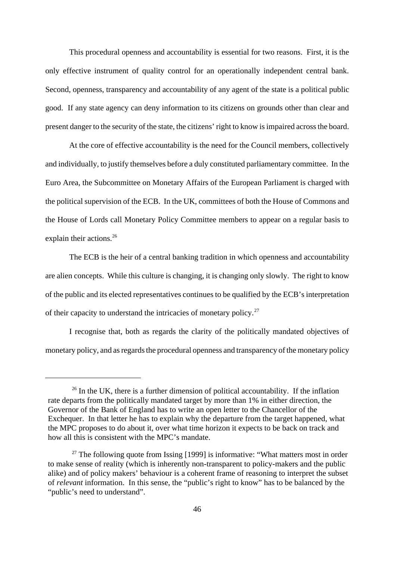This procedural openness and accountability is essential for two reasons. First, it is the only effective instrument of quality control for an operationally independent central bank. Second, openness, transparency and accountability of any agent of the state is a political public good. If any state agency can deny information to its citizens on grounds other than clear and present danger to the security of the state, the citizens' right to know is impaired across the board.

At the core of effective accountability is the need for the Council members, collectively and individually, to justify themselves before a duly constituted parliamentary committee. In the Euro Area, the Subcommittee on Monetary Affairs of the European Parliament is charged with the political supervision of the ECB. In the UK, committees of both the House of Commons and the House of Lords call Monetary Policy Committee members to appear on a regular basis to explain their actions.<sup>26</sup>

The ECB is the heir of a central banking tradition in which openness and accountability are alien concepts. While this culture is changing, it is changing only slowly. The right to know of the public and its elected representatives continues to be qualified by the ECB's interpretation of their capacity to understand the intricacies of monetary policy.<sup>27</sup>

I recognise that, both as regards the clarity of the politically mandated objectives of monetary policy, and as regards the procedural openness and transparency of the monetary policy

 $26$  In the UK, there is a further dimension of political accountability. If the inflation rate departs from the politically mandated target by more than 1% in either direction, the Governor of the Bank of England has to write an open letter to the Chancellor of the Exchequer. In that letter he has to explain why the departure from the target happened, what the MPC proposes to do about it, over what time horizon it expects to be back on track and how all this is consistent with the MPC's mandate.

 $27$  The following quote from Issing [1999] is informative: "What matters most in order to make sense of reality (which is inherently non-transparent to policy-makers and the public alike) and of policy makers' behaviour is a coherent frame of reasoning to interpret the subset of *relevant* information. In this sense, the "public's right to know" has to be balanced by the "public's need to understand".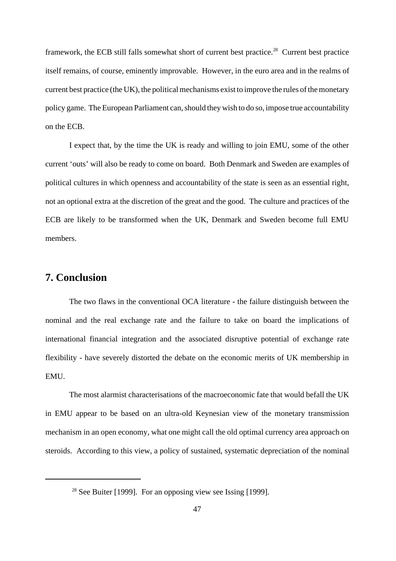framework, the ECB still falls somewhat short of current best practice.<sup>28</sup> Current best practice itself remains, of course, eminently improvable. However, in the euro area and in the realms of current best practice (the UK), the political mechanisms exist to improve the rules of the monetary policy game. The European Parliament can, should they wish to do so, impose true accountability on the ECB.

I expect that, by the time the UK is ready and willing to join EMU, some of the other current 'outs' will also be ready to come on board. Both Denmark and Sweden are examples of political cultures in which openness and accountability of the state is seen as an essential right, not an optional extra at the discretion of the great and the good. The culture and practices of the ECB are likely to be transformed when the UK, Denmark and Sweden become full EMU members.

# **7. Conclusion**

The two flaws in the conventional OCA literature - the failure distinguish between the nominal and the real exchange rate and the failure to take on board the implications of international financial integration and the associated disruptive potential of exchange rate flexibility - have severely distorted the debate on the economic merits of UK membership in EMU.

The most alarmist characterisations of the macroeconomic fate that would befall the UK in EMU appear to be based on an ultra-old Keynesian view of the monetary transmission mechanism in an open economy, what one might call the old optimal currency area approach on steroids. According to this view, a policy of sustained, systematic depreciation of the nominal

<sup>&</sup>lt;sup>28</sup> See Buiter [1999]. For an opposing view see Issing [1999].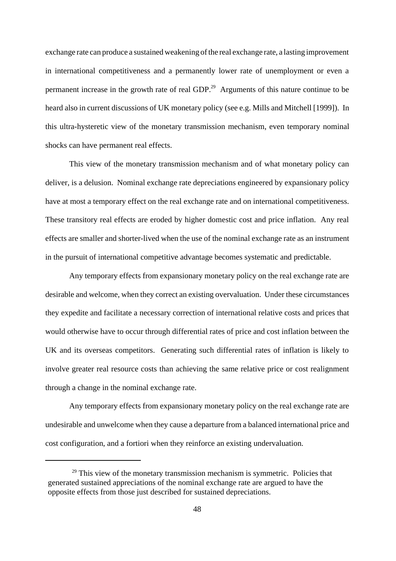exchange rate can produce a sustained weakening of the real exchange rate, a lasting improvement in international competitiveness and a permanently lower rate of unemployment or even a permanent increase in the growth rate of real GDP.29 Arguments of this nature continue to be heard also in current discussions of UK monetary policy (see e.g. Mills and Mitchell [1999]). In this ultra-hysteretic view of the monetary transmission mechanism, even temporary nominal shocks can have permanent real effects.

This view of the monetary transmission mechanism and of what monetary policy can deliver, is a delusion. Nominal exchange rate depreciations engineered by expansionary policy have at most a temporary effect on the real exchange rate and on international competitiveness. These transitory real effects are eroded by higher domestic cost and price inflation. Any real effects are smaller and shorter-lived when the use of the nominal exchange rate as an instrument in the pursuit of international competitive advantage becomes systematic and predictable.

Any temporary effects from expansionary monetary policy on the real exchange rate are desirable and welcome, when they correct an existing overvaluation. Under these circumstances they expedite and facilitate a necessary correction of international relative costs and prices that would otherwise have to occur through differential rates of price and cost inflation between the UK and its overseas competitors. Generating such differential rates of inflation is likely to involve greater real resource costs than achieving the same relative price or cost realignment through a change in the nominal exchange rate.

Any temporary effects from expansionary monetary policy on the real exchange rate are undesirable and unwelcome when they cause a departure from a balanced international price and cost configuration, and a fortiori when they reinforce an existing undervaluation.

 $29$  This view of the monetary transmission mechanism is symmetric. Policies that generated sustained appreciations of the nominal exchange rate are argued to have the opposite effects from those just described for sustained depreciations.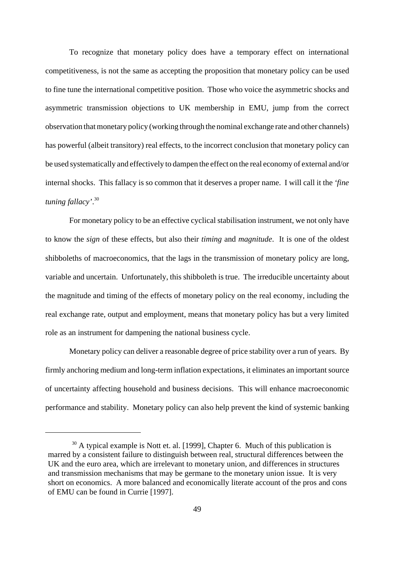To recognize that monetary policy does have a temporary effect on international competitiveness, is not the same as accepting the proposition that monetary policy can be used to fine tune the international competitive position. Those who voice the asymmetric shocks and asymmetric transmission objections to UK membership in EMU, jump from the correct observation that monetary policy (working through the nominal exchange rate and other channels) has powerful (albeit transitory) real effects, to the incorrect conclusion that monetary policy can be used systematically and effectively to dampen the effect on the real economy of external and/or internal shocks. This fallacy is so common that it deserves a proper name. I will call it the *'fine tuning fallacy'*. 30

For monetary policy to be an effective cyclical stabilisation instrument, we not only have to know the *sign* of these effects, but also their *timing* and *magnitude*. It is one of the oldest shibboleths of macroeconomics, that the lags in the transmission of monetary policy are long, variable and uncertain. Unfortunately, this shibboleth is true. The irreducible uncertainty about the magnitude and timing of the effects of monetary policy on the real economy, including the real exchange rate, output and employment, means that monetary policy has but a very limited role as an instrument for dampening the national business cycle.

Monetary policy can deliver a reasonable degree of price stability over a run of years. By firmly anchoring medium and long-term inflation expectations, it eliminates an important source of uncertainty affecting household and business decisions. This will enhance macroeconomic performance and stability. Monetary policy can also help prevent the kind of systemic banking

 $30$  A typical example is Nott et. al. [1999], Chapter 6. Much of this publication is marred by a consistent failure to distinguish between real, structural differences between the UK and the euro area, which are irrelevant to monetary union, and differences in structures and transmission mechanisms that may be germane to the monetary union issue. It is very short on economics. A more balanced and economically literate account of the pros and cons of EMU can be found in Currie [1997].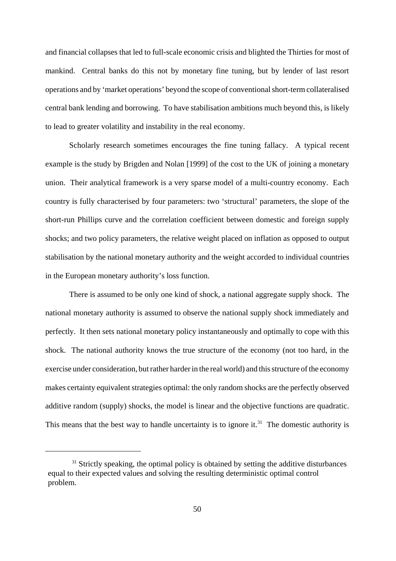and financial collapses that led to full-scale economic crisis and blighted the Thirties for most of mankind. Central banks do this not by monetary fine tuning, but by lender of last resort operations and by 'market operations' beyond the scope of conventional short-term collateralised central bank lending and borrowing. To have stabilisation ambitions much beyond this, is likely to lead to greater volatility and instability in the real economy.

Scholarly research sometimes encourages the fine tuning fallacy. A typical recent example is the study by Brigden and Nolan [1999] of the cost to the UK of joining a monetary union. Their analytical framework is a very sparse model of a multi-country economy. Each country is fully characterised by four parameters: two 'structural' parameters, the slope of the short-run Phillips curve and the correlation coefficient between domestic and foreign supply shocks; and two policy parameters, the relative weight placed on inflation as opposed to output stabilisation by the national monetary authority and the weight accorded to individual countries in the European monetary authority's loss function.

There is assumed to be only one kind of shock, a national aggregate supply shock. The national monetary authority is assumed to observe the national supply shock immediately and perfectly. It then sets national monetary policy instantaneously and optimally to cope with this shock. The national authority knows the true structure of the economy (not too hard, in the exercise under consideration, but rather harder in the real world) and this structure of the economy makes certainty equivalent strategies optimal: the only random shocks are the perfectly observed additive random (supply) shocks, the model is linear and the objective functions are quadratic. This means that the best way to handle uncertainty is to ignore it.<sup>31</sup> The domestic authority is

 $31$  Strictly speaking, the optimal policy is obtained by setting the additive disturbances equal to their expected values and solving the resulting deterministic optimal control problem.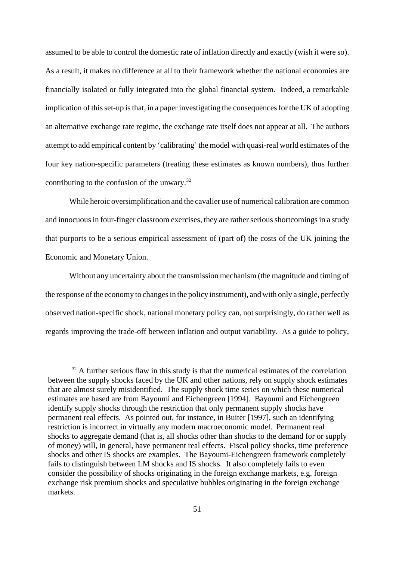assumed to be able to control the domestic rate of inflation directly and exactly (wish it were so). As a result, it makes no difference at all to their framework whether the national economies are financially isolated or fully integrated into the global financial system. Indeed, a remarkable implication of this set-up is that, in a paper investigating the consequences for the UK of adopting an alternative exchange rate regime, the exchange rate itself does not appear at all. The authors attempt to add empirical content by 'calibrating' the model with quasi-real world estimates of the four key nation-specific parameters (treating these estimates as known numbers), thus further contributing to the confusion of the unwary.<sup>32</sup>

While heroic oversimplification and the cavalier use of numerical calibration are common and innocuous in four-finger classroom exercises, they are rather serious shortcomings in a study that purports to be a serious empirical assessment of (part of) the costs of the UK joining the Economic and Monetary Union.

Without any uncertainty about the transmission mechanism (the magnitude and timing of the response of the economy to changes in the policy instrument), and with only a single, perfectly observed nation-specific shock, national monetary policy can, not surprisingly, do rather well as regards improving the trade-off between inflation and output variability. As a guide to policy,

 $32$  A further serious flaw in this study is that the numerical estimates of the correlation between the supply shocks faced by the UK and other nations, rely on supply shock estimates that are almost surely misidentified. The supply shock time series on which these numerical estimates are based are from Bayoumi and Eichengreen [1994]. Bayoumi and Eichengreen identify supply shocks through the restriction that only permanent supply shocks have permanent real effects. As pointed out, for instance, in Buiter [1997], such an identifying restriction is incorrect in virtually any modern macroeconomic model. Permanent real shocks to aggregate demand (that is, all shocks other than shocks to the demand for or supply of money) will, in general, have permanent real effects. Fiscal policy shocks, time preference shocks and other IS shocks are examples. The Bayoumi-Eichengreen framework completely fails to distinguish between LM shocks and IS shocks. It also completely fails to even consider the possibility of shocks originating in the foreign exchange markets, e.g. foreign exchange risk premium shocks and speculative bubbles originating in the foreign exchange markets.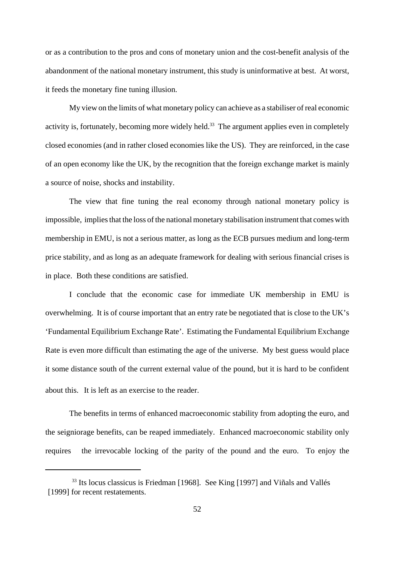or as a contribution to the pros and cons of monetary union and the cost-benefit analysis of the abandonment of the national monetary instrument, this study is uninformative at best. At worst, it feeds the monetary fine tuning illusion.

My view on the limits of what monetary policy can achieve as a stabiliser of real economic activity is, fortunately, becoming more widely held.<sup>33</sup> The argument applies even in completely closed economies (and in rather closed economies like the US). They are reinforced, in the case of an open economy like the UK, by the recognition that the foreign exchange market is mainly a source of noise, shocks and instability.

The view that fine tuning the real economy through national monetary policy is impossible, implies that the loss of the national monetary stabilisation instrument that comes with membership in EMU, is not a serious matter, as long as the ECB pursues medium and long-term price stability, and as long as an adequate framework for dealing with serious financial crises is in place. Both these conditions are satisfied.

I conclude that the economic case for immediate UK membership in EMU is overwhelming. It is of course important that an entry rate be negotiated that is close to the UK's 'Fundamental Equilibrium Exchange Rate'. Estimating the Fundamental Equilibrium Exchange Rate is even more difficult than estimating the age of the universe. My best guess would place it some distance south of the current external value of the pound, but it is hard to be confident about this.It is left as an exercise to the reader.

The benefits in terms of enhanced macroeconomic stability from adopting the euro, and the seigniorage benefits, can be reaped immediately. Enhanced macroeconomic stability only requires the irrevocable locking of the parity of the pound and the euro. To enjoy the

<sup>&</sup>lt;sup>33</sup> Its locus classicus is Friedman [1968]. See King [1997] and Viñals and Vallés [1999] for recent restatements.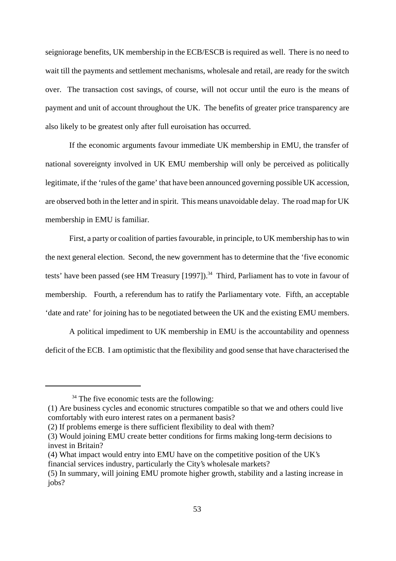seigniorage benefits, UK membership in the ECB/ESCB is required as well. There is no need to wait till the payments and settlement mechanisms, wholesale and retail, are ready for the switch over. The transaction cost savings, of course, will not occur until the euro is the means of payment and unit of account throughout the UK. The benefits of greater price transparency are also likely to be greatest only after full euroisation has occurred.

If the economic arguments favour immediate UK membership in EMU, the transfer of national sovereignty involved in UK EMU membership will only be perceived as politically legitimate, if the 'rules of the game' that have been announced governing possible UK accession, are observed both in the letter and in spirit. This means unavoidable delay. The road map for UK membership in EMU is familiar.

First, a party or coalition of parties favourable, in principle, to UK membership has to win the next general election. Second, the new government has to determine that the 'five economic tests' have been passed (see HM Treasury [1997]).<sup>34</sup> Third, Parliament has to vote in favour of membership. Fourth, a referendum has to ratify the Parliamentary vote. Fifth, an acceptable 'date and rate' for joining has to be negotiated between the UK and the existing EMU members.

A political impediment to UK membership in EMU is the accountability and openness deficit of the ECB. I am optimistic that the flexibility and good sense that have characterised the

(4) What impact would entry into EMU have on the competitive position of the UK's financial services industry, particularly the City's wholesale markets?

<sup>&</sup>lt;sup>34</sup> The five economic tests are the following:

<sup>(1)</sup> Are business cycles and economic structures compatible so that we and others could live comfortably with euro interest rates on a permanent basis?

<sup>(2)</sup> If problems emerge is there sufficient flexibility to deal with them?

<sup>(3)</sup> Would joining EMU create better conditions for firms making long-term decisions to invest in Britain?

<sup>(5)</sup> In summary, will joining EMU promote higher growth, stability and a lasting increase in jobs?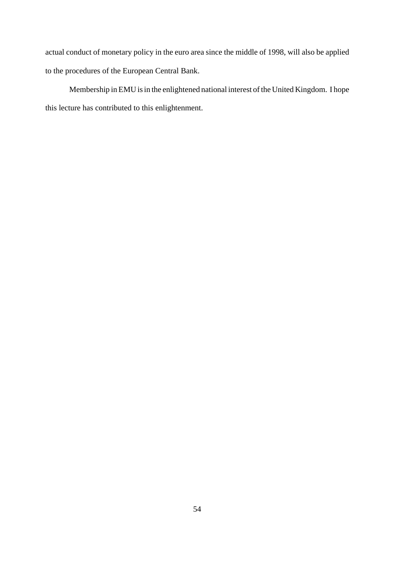actual conduct of monetary policy in the euro area since the middle of 1998, will also be applied to the procedures of the European Central Bank.

Membership in EMU is in the enlightened national interest of the United Kingdom. I hope this lecture has contributed to this enlightenment.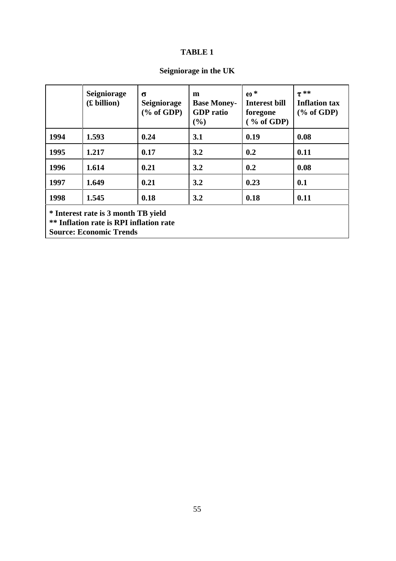### **TABLE 1**

|                                     | Seigniorage<br>$(E\text{ billion})$ | σ<br><b>Seigniorage</b><br>$(\%$ of GDP) | m<br><b>Base Money-</b><br><b>GDP</b> ratio<br>$\left( \frac{6}{2} \right)$ | $\omega^*$<br><b>Interest bill</b><br>foregone<br>( % of GDP) | $\tau$ **<br><b>Inflation tax</b><br>$(\%$ of GDP) |  |  |
|-------------------------------------|-------------------------------------|------------------------------------------|-----------------------------------------------------------------------------|---------------------------------------------------------------|----------------------------------------------------|--|--|
| 1994                                | 1.593                               | 0.24                                     | 3.1                                                                         | 0.19                                                          | 0.08                                               |  |  |
| 1995                                | 1.217                               | 0.17                                     | 3.2                                                                         | 0.2                                                           | 0.11                                               |  |  |
| 1996                                | 1.614                               | 0.21                                     | 3.2                                                                         | 0.2                                                           | 0.08                                               |  |  |
| 1997                                | 1.649                               | 0.21                                     | 3.2                                                                         | 0.23                                                          | 0.1                                                |  |  |
| 1998                                | 1.545                               | 0.18                                     | 3.2                                                                         | 0.18                                                          | 0.11                                               |  |  |
| * Interest rate is 3 month TB yield |                                     |                                          |                                                                             |                                                               |                                                    |  |  |

# **Seigniorage in the UK**

**\* Interest rate is 3 month TB yield**

**\*\* Inflation rate is RPI inflation rate**

**Source: Economic Trends**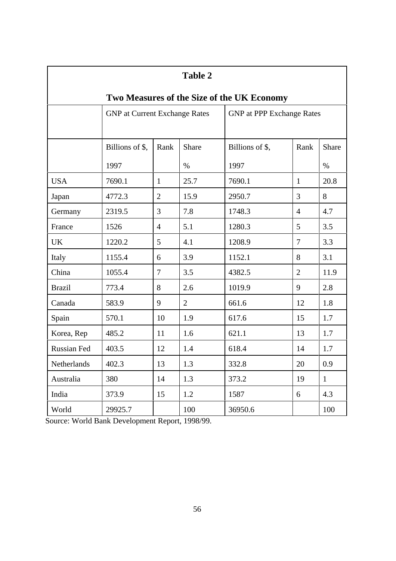| <b>Table 2</b>                             |                                      |                |                |                                  |                |              |  |  |
|--------------------------------------------|--------------------------------------|----------------|----------------|----------------------------------|----------------|--------------|--|--|
| Two Measures of the Size of the UK Economy |                                      |                |                |                                  |                |              |  |  |
|                                            | <b>GNP</b> at Current Exchange Rates |                |                | <b>GNP</b> at PPP Exchange Rates |                |              |  |  |
|                                            |                                      |                |                |                                  |                |              |  |  |
|                                            | Billions of \$,                      | Rank           | Share          | Billions of \$,                  | Rank           | Share        |  |  |
|                                            | 1997                                 |                | $\%$           | 1997                             |                | $\%$         |  |  |
| <b>USA</b>                                 | 7690.1                               | $\mathbf{1}$   | 25.7           | 7690.1                           | $\mathbf{1}$   | 20.8         |  |  |
| Japan                                      | 4772.3                               | $\overline{2}$ | 15.9           | 2950.7                           | 3              | 8            |  |  |
| Germany                                    | 2319.5                               | 3              | 7.8            | 1748.3                           | $\overline{4}$ | 4.7          |  |  |
| France                                     | 1526                                 | $\overline{4}$ | 5.1            | 1280.3                           | 5              | 3.5          |  |  |
| <b>UK</b>                                  | 1220.2                               | 5              | 4.1            | 1208.9                           | $\overline{7}$ | 3.3          |  |  |
| Italy                                      | 1155.4                               | 6              | 3.9            | 1152.1                           | 8              | 3.1          |  |  |
| China                                      | 1055.4                               | $\overline{7}$ | 3.5            | 4382.5                           | $\overline{2}$ | 11.9         |  |  |
| <b>Brazil</b>                              | 773.4                                | 8              | 2.6            | 1019.9                           | 9              | 2.8          |  |  |
| Canada                                     | 583.9                                | 9              | $\overline{2}$ | 661.6                            | 12             | 1.8          |  |  |
| Spain                                      | 570.1                                | 10             | 1.9            | 617.6                            | 15             | 1.7          |  |  |
| Korea, Rep                                 | 485.2                                | 11             | 1.6            | 621.1                            | 13             | 1.7          |  |  |
| <b>Russian Fed</b>                         | 403.5                                | 12             | 1.4            | 618.4                            | 14             | 1.7          |  |  |
| Netherlands                                | 402.3                                | 13             | 1.3            | 332.8                            | $20\,$         | 0.9          |  |  |
| Australia                                  | 380                                  | 14             | 1.3            | 373.2                            | 19             | $\mathbf{1}$ |  |  |
| India                                      | 373.9                                | 15             | 1.2            | 1587                             | 6              | 4.3          |  |  |
| World                                      | 29925.7                              |                | 100            | 36950.6                          |                | 100          |  |  |

Source: World Bank Development Report, 1998/99.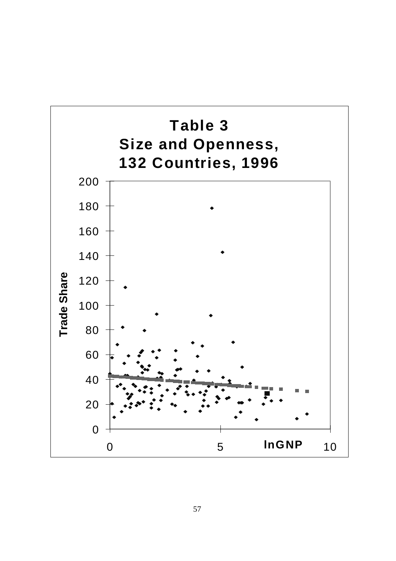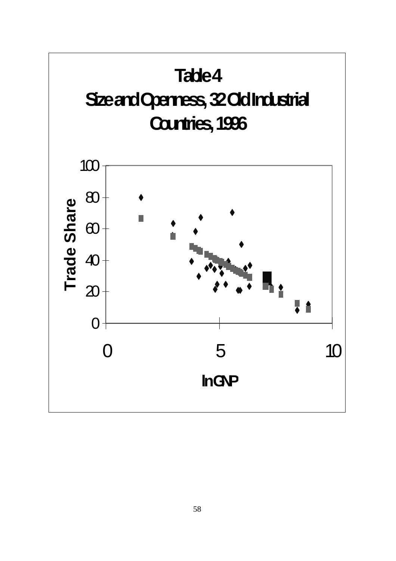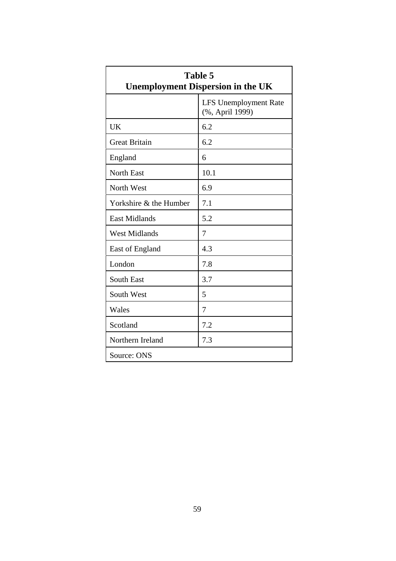| <b>Table 5</b><br><b>Unemployment Dispersion in the UK</b> |                                                 |  |  |  |
|------------------------------------------------------------|-------------------------------------------------|--|--|--|
|                                                            | <b>LFS</b> Unemployment Rate<br>(%, April 1999) |  |  |  |
| UK                                                         | 6.2                                             |  |  |  |
| <b>Great Britain</b>                                       | 6.2                                             |  |  |  |
| England                                                    | 6                                               |  |  |  |
| <b>North East</b>                                          | 10.1                                            |  |  |  |
| North West                                                 | 6.9                                             |  |  |  |
| Yorkshire & the Humber                                     | 7.1                                             |  |  |  |
| <b>East Midlands</b>                                       | 5.2                                             |  |  |  |
| <b>West Midlands</b>                                       | 7                                               |  |  |  |
| East of England                                            | 4.3                                             |  |  |  |
| London                                                     | 7.8                                             |  |  |  |
| <b>South East</b>                                          | 3.7                                             |  |  |  |
| South West                                                 | 5                                               |  |  |  |
| Wales                                                      | 7                                               |  |  |  |
| Scotland                                                   | 7.2                                             |  |  |  |
| Northern Ireland                                           | 7.3                                             |  |  |  |
| Source: ONS                                                |                                                 |  |  |  |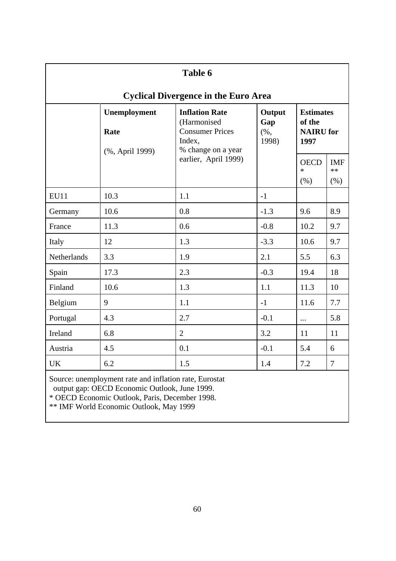| Table 6<br><b>Cyclical Divergence in the Euro Area</b> |      |                      |                               |                            |                |  |  |
|--------------------------------------------------------|------|----------------------|-------------------------------|----------------------------|----------------|--|--|
|                                                        |      |                      |                               |                            |                |  |  |
|                                                        |      | earlier, April 1999) | <b>OECD</b><br>$\ast$<br>(% ) | <b>IMF</b><br>$**$<br>(% ) |                |  |  |
| <b>EU11</b>                                            | 10.3 | 1.1                  | $-1$                          |                            |                |  |  |
| Germany                                                | 10.6 | 0.8                  | $-1.3$                        | 9.6                        | 8.9            |  |  |
| France                                                 | 11.3 | 0.6                  | $-0.8$                        | 10.2                       | 9.7            |  |  |
| Italy                                                  | 12   | 1.3                  | $-3.3$                        | 10.6                       | 9.7            |  |  |
| Netherlands                                            | 3.3  | 1.9                  | 2.1                           | 5.5                        | 6.3            |  |  |
| Spain                                                  | 17.3 | 2.3                  | $-0.3$                        | 19.4                       | 18             |  |  |
| Finland                                                | 10.6 | 1.3                  | 1.1                           | 11.3                       | 10             |  |  |
| Belgium                                                | 9    | 1.1                  | $-1$                          | 11.6                       | 7.7            |  |  |
| Portugal                                               | 4.3  | 2.7                  | $-0.1$                        | $\cdots$                   | 5.8            |  |  |
| Ireland                                                | 6.8  | $\overline{2}$       | 3.2                           | 11                         | 11             |  |  |
| Austria                                                | 4.5  | 0.1                  | $-0.1$                        | 5.4                        | 6              |  |  |
| <b>UK</b>                                              | 6.2  | 1.5                  | 1.4                           | 7.2                        | $\overline{7}$ |  |  |

Source: unemployment rate and inflation rate, Eurostat

output gap: OECD Economic Outlook, June 1999.

\* OECD Economic Outlook, Paris, December 1998.

\*\* IMF World Economic Outlook, May 1999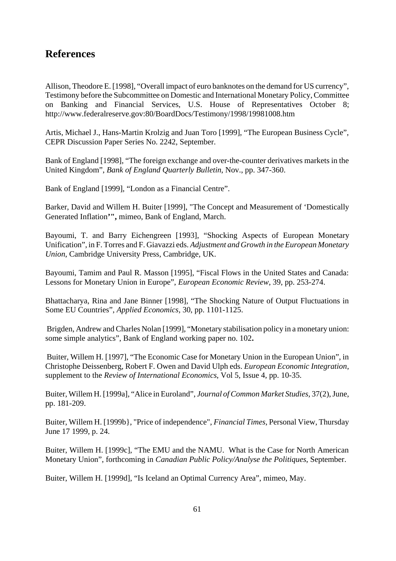# **References**

Allison, Theodore E. [1998], "Overall impact of euro banknotes on the demand for US currency", Testimony before the Subcommittee on Domestic and International Monetary Policy, Committee on Banking and Financial Services, U.S. House of Representatives October 8; http://www.federalreserve.gov:80/BoardDocs/Testimony/1998/19981008.htm

Artis, Michael J., Hans-Martin Krolzig and Juan Toro [1999], "The European Business Cycle", CEPR Discussion Paper Series No. 2242, September.

Bank of England [1998], "The foreign exchange and over-the-counter derivatives markets in the United Kingdom", *Bank of England Quarterly Bulletin*, Nov., pp. 347-360.

Bank of England [1999], "London as a Financial Centre".

Barker, David and Willem H. Buiter [1999], "The Concept and Measurement of 'Domestically Generated Inflation**'",** mimeo, Bank of England, March.

Bayoumi, T. and Barry Eichengreen [1993], "Shocking Aspects of European Monetary Unification", in F. Torres and F. Giavazzi eds. *Adjustment and Growth in the European Monetary Union*, Cambridge University Press, Cambridge, UK.

Bayoumi, Tamim and Paul R. Masson [1995], "Fiscal Flows in the United States and Canada: Lessons for Monetary Union in Europe", *European Economic Review*, 39, pp. 253-274.

Bhattacharya, Rina and Jane Binner [1998], "The Shocking Nature of Output Fluctuations in Some EU Countries", *Applied Economics,* 30, pp. 1101-1125.

Brigden, Andrew and Charles Nolan [1999], "Monetary stabilisation policy in a monetary union: some simple analytics", Bank of England working paper no. 102**.** 

Buiter, Willem H. [1997], "The Economic Case for Monetary Union in the European Union", in Christophe Deissenberg, Robert F. Owen and David Ulph eds. *European Economic Integration*, supplement to the *Review of International Economics*, Vol 5, Issue 4, pp. 10-35.

Buiter, Willem H. [1999a], "Alice in Euroland", *Journal of Common Market Studies,* 37(2), June, pp. 181-209.

Buiter, Willem H. [1999b}, "Price of independence", *Financial Times*, Personal View, Thursday June 17 1999, p. 24.

Buiter, Willem H. [1999c], "The EMU and the NAMU. What is the Case for North American Monetary Union", forthcoming in *Canadian Public Policy/Analyse the Politiques*, September.

Buiter, Willem H. [1999d], "Is Iceland an Optimal Currency Area", mimeo, May.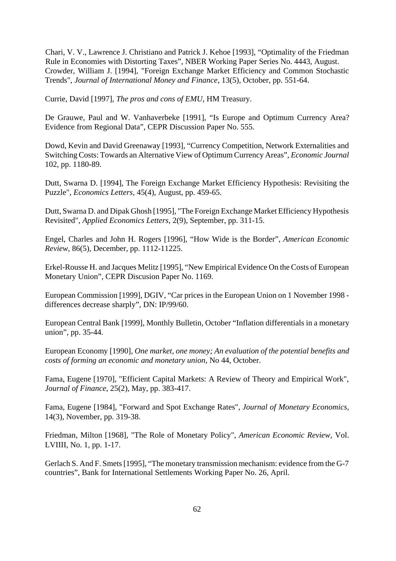Chari, V. V., Lawrence J. Christiano and Patrick J. Kehoe [1993], "Optimality of the Friedman Rule in Economies with Distorting Taxes", NBER Working Paper Series No. 4443, August. Crowder, William J. [1994], "Foreign Exchange Market Efficiency and Common Stochastic Trends", *Journal of International Money and Finance*, 13(5), October, pp. 551-64.

Currie, David [1997], *The pros and cons of EMU*, HM Treasury.

De Grauwe, Paul and W. Vanhaverbeke [1991], "Is Europe and Optimum Currency Area? Evidence from Regional Data", CEPR Discussion Paper No. 555.

Dowd, Kevin and David Greenaway [1993], "Currency Competition, Network Externalities and Switching Costs: Towards an Alternative View of Optimum Currency Areas", *Economic Journal* 102, pp. 1180-89.

Dutt, Swarna D. [1994], The Foreign Exchange Market Efficiency Hypothesis: Revisiting the Puzzle", *Economics Letters*, 45(4), August, pp. 459-65.

Dutt, Swarna D. and Dipak Ghosh [1995], "The Foreign Exchange Market Efficiency Hypothesis Revisited", *Applied Economics Letters*, 2(9), September, pp. 311-15.

Engel, Charles and John H. Rogers [1996], "How Wide is the Border", *American Economic Review*, 86(5), December, pp. 1112-11225.

Erkel-Rousse H. and Jacques Melitz [1995], "New Empirical Evidence On the Costs of European Monetary Union", CEPR Discusion Paper No. 1169.

European Commission [1999], DGIV, "Car prices in the European Union on 1 November 1998 differences decrease sharply", DN: IP/99/60.

European Central Bank [1999], Monthly Bulletin, October "Inflation differentials in a monetary union", pp. 35-44.

European Economy [1990], *One market, one money; An evaluation of the potential benefits and costs of forming an economic and monetary union*, No 44, October.

Fama, Eugene [1970], "Efficient Capital Markets: A Review of Theory and Empirical Work", *Journal of Finance*, 25(2), May, pp. 383-417.

Fama, Eugene [1984], "Forward and Spot Exchange Rates", *Journal of Monetary Economics*, 14(3), November, pp. 319-38.

Friedman, Milton [1968], "The Role of Monetary Policy", *American Economic Review*, Vol. LVIIII, No. 1, pp. 1-17.

Gerlach S. And F. Smets [1995], "The monetary transmission mechanism: evidence from the G-7 countries", Bank for International Settlements Working Paper No. 26, April.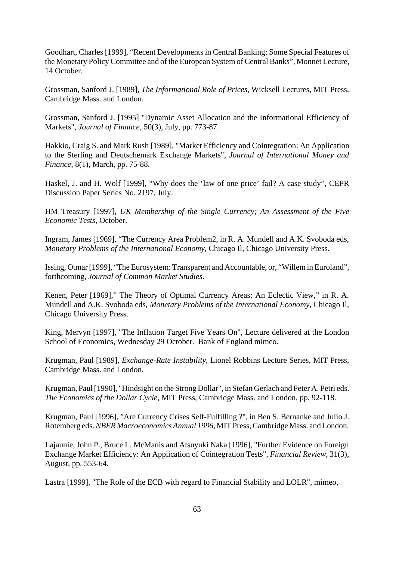Goodhart, Charles [1999], "Recent Developments in Central Banking: Some Special Features of the Monetary Policy Committee and of the European System of Central Banks", Monnet Lecture, 14 October.

Grossman, Sanford J. [1989], *The Informational Role of Prices*, Wicksell Lectures, MIT Press, Cambridge Mass. and London.

Grossman, Sanford J. [1995] "Dynamic Asset Allocation and the Informational Efficiency of Markets", *Journal of Finance*, 50(3), July, pp. 773-87.

Hakkio, Craig S. and Mark Rush [1989], "Market Efficiency and Cointegration: An Application to the Sterling and Deutschemark Exchange Markets", *Journal of International Money and Finance*, 8(1), March, pp. 75-88.

Haskel, J. and H. Wolf [1999], "Why does the 'law of one price' fail? A case study", CEPR Discussion Paper Series No. 2197, July.

HM Treasury [1997], *UK Membership of the Single Currency; An Assessment of the Five Economic Tests*, October.

Ingram, James [1969], "The Currency Area Problem2, in R. A. Mundell and A.K. Svoboda eds, *Monetary Problems of the International Economy*, Chicago Il, Chicago University Press.

Issing, Otmar [1999], "The Eurosystem: Transparent and Accountable, or, "Willem in Euroland", forthcoming, *Journal of Common Market Studies*.

Kenen, Peter [1969]," The Theory of Optimal Currency Areas: An Eclectic View," in R. A. Mundell and A.K. Svoboda eds, *Monetary Problems of the International Economy*, Chicago Il, Chicago University Press.

King, Mervyn [1997], "The Inflation Target Five Years On", Lecture delivered at the London School of Economics, Wednesday 29 October. Bank of England mimeo.

Krugman, Paul [1989], *Exchange-Rate Instability*, Lionel Robbins Lecture Series, MIT Press, Cambridge Mass. and London.

Krugman, Paul [1990], "Hindsight on the Strong Dollar", in Stefan Gerlach and Peter A. Petri eds. *The Economics of the Dollar Cycle*, MIT Press, Cambridge Mass. and London, pp. 92-118.

Krugman, Paul [1996], "Are Currency Crises Self-Fulfilling ?", in Ben S. Bernanke and Julio J. Rotemberg eds. *NBER Macroeconomics Annual 1996*, MIT Press, Cambridge Mass. and London.

Lajaunie, John P., Bruce L. McManis and Atsuyuki Naka [1996], "Further Evidence on Foreign Exchange Market Efficiency: An Application of Cointegration Tests", *Financial Review*, 31(3), August, pp. 553-64.

Lastra [1999], "The Role of the ECB with regard to Financial Stability and LOLR", mimeo,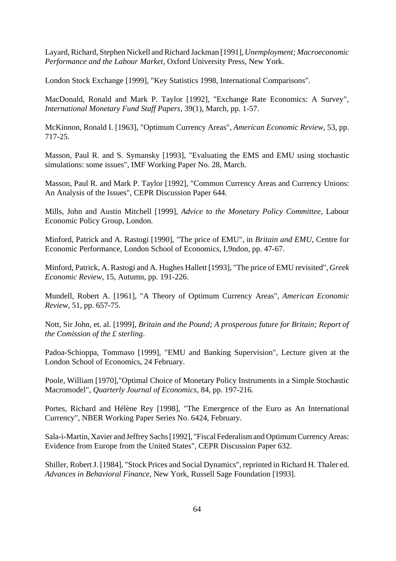Layard, Richard, Stephen Nickell and Richard Jackman [1991], *Unemployment; Macroeconomic Performance and the Labour Market*, Oxford University Press, New York.

London Stock Exchange [1999], "Key Statistics 1998, International Comparisons".

MacDonald, Ronald and Mark P. Taylor [1992], "Exchange Rate Economics: A Survey", *International Monetary Fund Staff Papers*, 39(1), March, pp. 1-57.

McKinnon, Ronald I. [1963], "Optimum Currency Areas", *American Economic Review*, 53, pp. 717-25.

Masson, Paul R. and S. Symansky [1993], "Evaluating the EMS and EMU using stochastic simulations: some issues", IMF Working Paper No. 28, March.

Masson, Paul R. and Mark P. Taylor [1992], "Common Currency Areas and Currency Unions: An Analysis of the Issues", CEPR Discussion Paper 644.

Mills, John and Austin Mitchell [1999], *Advice to the Monetary Policy Committee*, Labour Economic Policy Group, London.

Minford, Patrick and A. Rastogi [1990], "The price of EMU", in *Britain and EMU*, Centre for Economic Performance, London School of Economics, L9ndon, pp. 47-67.

Minford, Patrick, A. Rastogi and A. Hughes Hallett [1993], "The price of EMU revisited", *Greek Economic Review*, 15, Autumn, pp. 191-226.

Mundell, Robert A. [1961], "A Theory of Optimum Currency Areas", *American Economic Review*, 51, pp. 657-75.

Nott, Sir John, et. al. [1999], *Britain and the Pound; A prosperous future for Britain; Report of the Comission of the £ sterling*.

Padoa-Schioppa, Tommaso [1999], "EMU and Banking Supervision", Lecture given at the London School of Economics, 24 February.

Poole, William [1970],"Optimal Choice of Monetary Policy Instruments in a Simple Stochastic Macromodel", *Quarterly Journal of Economics*, 84, pp. 197-216.

Portes, Richard and Hélène Rey [1998], "The Emergence of the Euro as An International Currency", NBER Working Paper Series No. 6424, February.

Sala-i-Martin, Xavier and Jeffrey Sachs [1992], "Fiscal Federalism and Optimum Currency Areas: Evidence from Europe from the United States", CEPR Discussion Paper 632.

Shiller, Robert J. [1984], "Stock Prices and Social Dynamics", reprinted in Richard H. Thaler ed. *Advances in Behavioral Finance*, New York, Russell Sage Foundation [1993].